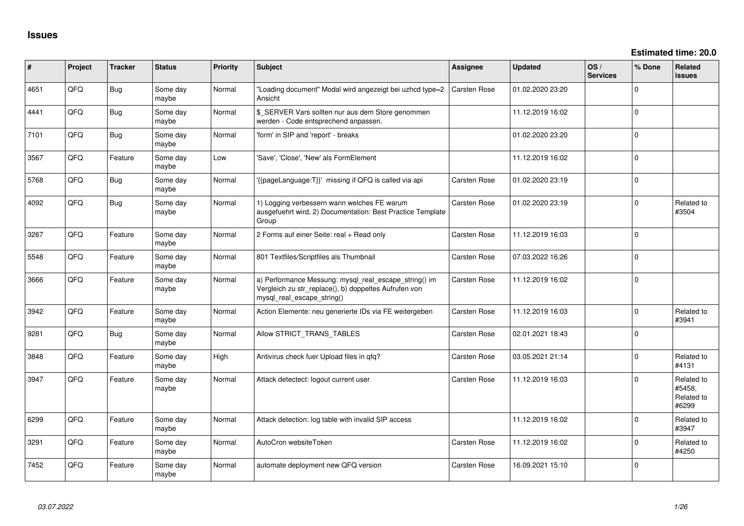| ∦    | Project | <b>Tracker</b> | <b>Status</b>     | <b>Priority</b> | <b>Subject</b>                                                                                                                               | <b>Assignee</b>     | <b>Updated</b>   | OS/<br><b>Services</b> | % Done       | Related<br>issues                           |
|------|---------|----------------|-------------------|-----------------|----------------------------------------------------------------------------------------------------------------------------------------------|---------------------|------------------|------------------------|--------------|---------------------------------------------|
| 4651 | QFQ     | Bug            | Some day<br>maybe | Normal          | "Loading document" Modal wird angezeigt bei uzhcd type=2<br>Ansicht                                                                          | Carsten Rose        | 01.02.2020 23:20 |                        | $\Omega$     |                                             |
| 4441 | QFQ     | Bug            | Some day<br>maybe | Normal          | \$_SERVER Vars sollten nur aus dem Store genommen<br>werden - Code entsprechend anpassen.                                                    |                     | 11.12.2019 16:02 |                        | $\Omega$     |                                             |
| 7101 | QFQ     | <b>Bug</b>     | Some day<br>maybe | Normal          | 'form' in SIP and 'report' - breaks                                                                                                          |                     | 01.02.2020 23:20 |                        | $\Omega$     |                                             |
| 3567 | QFQ     | Feature        | Some day<br>maybe | Low             | 'Save', 'Close', 'New' als FormElement                                                                                                       |                     | 11.12.2019 16:02 |                        | $\Omega$     |                                             |
| 5768 | QFQ     | Bug            | Some day<br>maybe | Normal          | '{{pageLanguage:T}}' missing if QFQ is called via api                                                                                        | <b>Carsten Rose</b> | 01.02.2020 23:19 |                        | $\mathbf 0$  |                                             |
| 4092 | QFQ     | Bug            | Some day<br>maybe | Normal          | 1) Logging verbessern wann welches FE warum<br>ausgefuehrt wird, 2) Documentation: Best Practice Template<br>Group                           | <b>Carsten Rose</b> | 01.02.2020 23:19 |                        | $\Omega$     | Related to<br>#3504                         |
| 3267 | QFQ     | Feature        | Some day<br>maybe | Normal          | 2 Forms auf einer Seite: real + Read only                                                                                                    | <b>Carsten Rose</b> | 11.12.2019 16:03 |                        | $\Omega$     |                                             |
| 5548 | QFQ     | Feature        | Some day<br>maybe | Normal          | 801 Textfiles/Scriptfiles als Thumbnail                                                                                                      | <b>Carsten Rose</b> | 07.03.2022 16:26 |                        | $\mathbf 0$  |                                             |
| 3666 | QFQ     | Feature        | Some day<br>maybe | Normal          | a) Performance Messung: mysql_real_escape_string() im<br>Vergleich zu str_replace(), b) doppeltes Aufrufen von<br>mysql real escape string() | <b>Carsten Rose</b> | 11.12.2019 16:02 |                        | $\Omega$     |                                             |
| 3942 | QFQ     | Feature        | Some day<br>maybe | Normal          | Action Elemente: neu generierte IDs via FE weitergeben                                                                                       | Carsten Rose        | 11.12.2019 16:03 |                        | $\mathbf{0}$ | Related to<br>#3941                         |
| 9281 | QFQ     | Bug            | Some day<br>maybe | Normal          | Allow STRICT_TRANS_TABLES                                                                                                                    | <b>Carsten Rose</b> | 02.01.2021 18:43 |                        | $\mathbf 0$  |                                             |
| 3848 | QFQ     | Feature        | Some day<br>maybe | High            | Antivirus check fuer Upload files in qfq?                                                                                                    | Carsten Rose        | 03.05.2021 21:14 |                        | $\mathbf{0}$ | Related to<br>#4131                         |
| 3947 | QFQ     | Feature        | Some day<br>maybe | Normal          | Attack detectect: logout current user                                                                                                        | Carsten Rose        | 11.12.2019 16:03 |                        | $\mathbf 0$  | Related to<br>#5458,<br>Related to<br>#6299 |
| 6299 | QFQ     | Feature        | Some day<br>maybe | Normal          | Attack detection: log table with invalid SIP access                                                                                          |                     | 11.12.2019 16:02 |                        | $\Omega$     | Related to<br>#3947                         |
| 3291 | QFQ     | Feature        | Some day<br>maybe | Normal          | AutoCron websiteToken                                                                                                                        | Carsten Rose        | 11.12.2019 16:02 |                        | $\Omega$     | Related to<br>#4250                         |
| 7452 | QFQ     | Feature        | Some day<br>maybe | Normal          | automate deployment new QFQ version                                                                                                          | Carsten Rose        | 16.09.2021 15:10 |                        | $\Omega$     |                                             |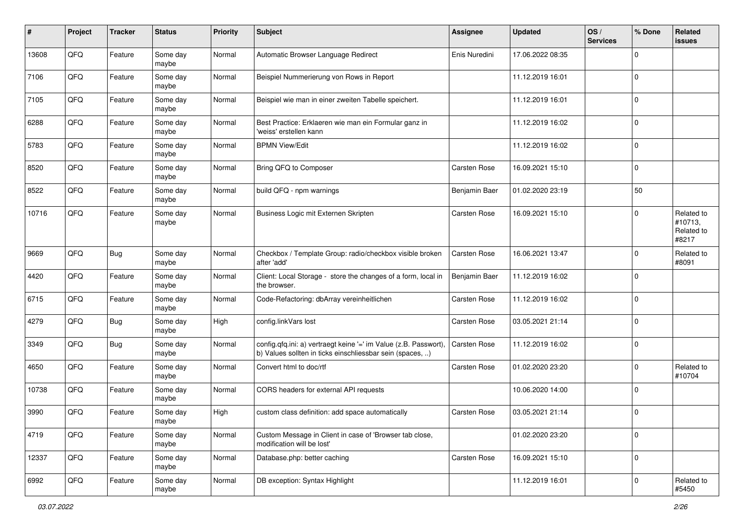| $\pmb{\#}$ | Project | <b>Tracker</b> | <b>Status</b>     | <b>Priority</b> | <b>Subject</b>                                                                                                                | <b>Assignee</b>     | <b>Updated</b>   | OS/<br><b>Services</b> | % Done      | Related<br>issues                            |
|------------|---------|----------------|-------------------|-----------------|-------------------------------------------------------------------------------------------------------------------------------|---------------------|------------------|------------------------|-------------|----------------------------------------------|
| 13608      | QFQ     | Feature        | Some day<br>maybe | Normal          | Automatic Browser Language Redirect                                                                                           | Enis Nuredini       | 17.06.2022 08:35 |                        | 0           |                                              |
| 7106       | QFQ     | Feature        | Some day<br>maybe | Normal          | Beispiel Nummerierung von Rows in Report                                                                                      |                     | 11.12.2019 16:01 |                        | $\mathbf 0$ |                                              |
| 7105       | QFQ     | Feature        | Some day<br>maybe | Normal          | Beispiel wie man in einer zweiten Tabelle speichert.                                                                          |                     | 11.12.2019 16:01 |                        | $\mathbf 0$ |                                              |
| 6288       | QFQ     | Feature        | Some day<br>maybe | Normal          | Best Practice: Erklaeren wie man ein Formular ganz in<br>'weiss' erstellen kann                                               |                     | 11.12.2019 16:02 |                        | $\mathbf 0$ |                                              |
| 5783       | QFQ     | Feature        | Some day<br>maybe | Normal          | <b>BPMN View/Edit</b>                                                                                                         |                     | 11.12.2019 16:02 |                        | $\mathbf 0$ |                                              |
| 8520       | QFQ     | Feature        | Some day<br>maybe | Normal          | Bring QFQ to Composer                                                                                                         | <b>Carsten Rose</b> | 16.09.2021 15:10 |                        | $\mathbf 0$ |                                              |
| 8522       | QFQ     | Feature        | Some day<br>maybe | Normal          | build QFQ - npm warnings                                                                                                      | Benjamin Baer       | 01.02.2020 23:19 |                        | 50          |                                              |
| 10716      | QFQ     | Feature        | Some day<br>maybe | Normal          | Business Logic mit Externen Skripten                                                                                          | <b>Carsten Rose</b> | 16.09.2021 15:10 |                        | $\mathbf 0$ | Related to<br>#10713,<br>Related to<br>#8217 |
| 9669       | QFQ     | <b>Bug</b>     | Some day<br>maybe | Normal          | Checkbox / Template Group: radio/checkbox visible broken<br>after 'add'                                                       | <b>Carsten Rose</b> | 16.06.2021 13:47 |                        | $\mathbf 0$ | Related to<br>#8091                          |
| 4420       | QFQ     | Feature        | Some day<br>maybe | Normal          | Client: Local Storage - store the changes of a form, local in<br>the browser.                                                 | Benjamin Baer       | 11.12.2019 16:02 |                        | 0           |                                              |
| 6715       | QFQ     | Feature        | Some day<br>maybe | Normal          | Code-Refactoring: dbArray vereinheitlichen                                                                                    | Carsten Rose        | 11.12.2019 16:02 |                        | $\mathbf 0$ |                                              |
| 4279       | QFQ     | <b>Bug</b>     | Some day<br>maybe | High            | config.linkVars lost                                                                                                          | <b>Carsten Rose</b> | 03.05.2021 21:14 |                        | $\mathbf 0$ |                                              |
| 3349       | QFQ     | <b>Bug</b>     | Some day<br>maybe | Normal          | config.qfq.ini: a) vertraegt keine '=' im Value (z.B. Passwort),<br>b) Values sollten in ticks einschliessbar sein (spaces, ) | <b>Carsten Rose</b> | 11.12.2019 16:02 |                        | $\mathbf 0$ |                                              |
| 4650       | QFQ     | Feature        | Some day<br>maybe | Normal          | Convert html to doc/rtf                                                                                                       | <b>Carsten Rose</b> | 01.02.2020 23:20 |                        | $\mathbf 0$ | Related to<br>#10704                         |
| 10738      | QFQ     | Feature        | Some day<br>maybe | Normal          | CORS headers for external API requests                                                                                        |                     | 10.06.2020 14:00 |                        | $\mathbf 0$ |                                              |
| 3990       | QFQ     | Feature        | Some day<br>maybe | High            | custom class definition: add space automatically                                                                              | <b>Carsten Rose</b> | 03.05.2021 21:14 |                        | $\mathbf 0$ |                                              |
| 4719       | QFG     | Feature        | Some day<br>maybe | Normal          | Custom Message in Client in case of 'Browser tab close,<br>modification will be lost'                                         |                     | 01.02.2020 23:20 |                        | $\mathbf 0$ |                                              |
| 12337      | QFG     | Feature        | Some day<br>maybe | Normal          | Database.php: better caching                                                                                                  | Carsten Rose        | 16.09.2021 15:10 |                        | $\mathsf 0$ |                                              |
| 6992       | QFG     | Feature        | Some day<br>maybe | Normal          | DB exception: Syntax Highlight                                                                                                |                     | 11.12.2019 16:01 |                        | $\mathsf 0$ | Related to<br>#5450                          |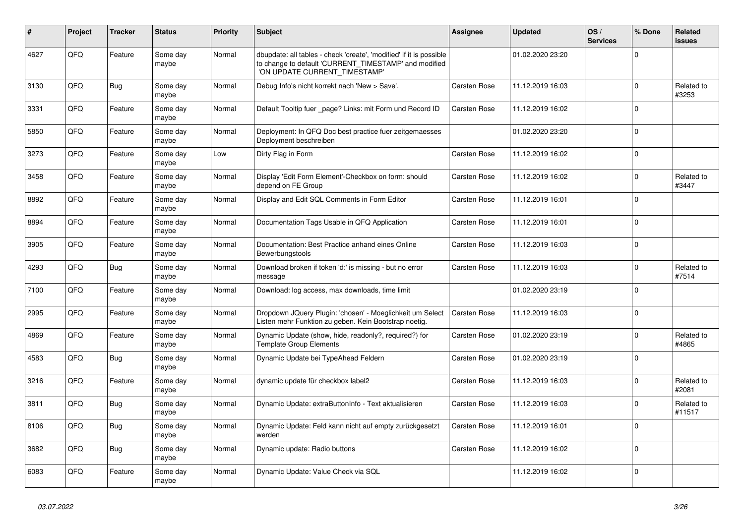| #    | <b>Project</b> | <b>Tracker</b> | <b>Status</b>     | <b>Priority</b> | <b>Subject</b>                                                                                                                                                | <b>Assignee</b>     | <b>Updated</b>   | OS/<br><b>Services</b> | % Done      | Related<br><b>issues</b> |
|------|----------------|----------------|-------------------|-----------------|---------------------------------------------------------------------------------------------------------------------------------------------------------------|---------------------|------------------|------------------------|-------------|--------------------------|
| 4627 | QFQ            | Feature        | Some day<br>maybe | Normal          | dbupdate: all tables - check 'create', 'modified' if it is possible<br>to change to default 'CURRENT_TIMESTAMP' and modified<br>'ON UPDATE CURRENT_TIMESTAMP' |                     | 01.02.2020 23:20 |                        | $\Omega$    |                          |
| 3130 | QFQ            | <b>Bug</b>     | Some day<br>maybe | Normal          | Debug Info's nicht korrekt nach 'New > Save'.                                                                                                                 | <b>Carsten Rose</b> | 11.12.2019 16:03 |                        | $\Omega$    | Related to<br>#3253      |
| 3331 | QFQ            | Feature        | Some day<br>maybe | Normal          | Default Tooltip fuer _page? Links: mit Form und Record ID                                                                                                     | Carsten Rose        | 11.12.2019 16:02 |                        | $\Omega$    |                          |
| 5850 | QFQ            | Feature        | Some day<br>maybe | Normal          | Deployment: In QFQ Doc best practice fuer zeitgemaesses<br>Deployment beschreiben                                                                             |                     | 01.02.2020 23:20 |                        | $\Omega$    |                          |
| 3273 | QFQ            | Feature        | Some day<br>maybe | Low             | Dirty Flag in Form                                                                                                                                            | <b>Carsten Rose</b> | 11.12.2019 16:02 |                        | $\Omega$    |                          |
| 3458 | QFQ            | Feature        | Some day<br>maybe | Normal          | Display 'Edit Form Element'-Checkbox on form: should<br>depend on FE Group                                                                                    | Carsten Rose        | 11.12.2019 16:02 |                        | $\Omega$    | Related to<br>#3447      |
| 8892 | QFQ            | Feature        | Some day<br>maybe | Normal          | Display and Edit SQL Comments in Form Editor                                                                                                                  | <b>Carsten Rose</b> | 11.12.2019 16:01 |                        | $\Omega$    |                          |
| 8894 | QFQ            | Feature        | Some day<br>maybe | Normal          | Documentation Tags Usable in QFQ Application                                                                                                                  | <b>Carsten Rose</b> | 11.12.2019 16:01 |                        | $\Omega$    |                          |
| 3905 | QFQ            | Feature        | Some day<br>maybe | Normal          | Documentation: Best Practice anhand eines Online<br>Bewerbungstools                                                                                           | Carsten Rose        | 11.12.2019 16:03 |                        | $\Omega$    |                          |
| 4293 | QFQ            | Bug            | Some day<br>maybe | Normal          | Download broken if token 'd:' is missing - but no error<br>message                                                                                            | <b>Carsten Rose</b> | 11.12.2019 16:03 |                        | $\Omega$    | Related to<br>#7514      |
| 7100 | QFQ            | Feature        | Some day<br>maybe | Normal          | Download: log access, max downloads, time limit                                                                                                               |                     | 01.02.2020 23:19 |                        | $\Omega$    |                          |
| 2995 | QFQ            | Feature        | Some day<br>maybe | Normal          | Dropdown JQuery Plugin: 'chosen' - Moeglichkeit um Select<br>Listen mehr Funktion zu geben. Kein Bootstrap noetig.                                            | <b>Carsten Rose</b> | 11.12.2019 16:03 |                        | $\Omega$    |                          |
| 4869 | QFQ            | Feature        | Some day<br>maybe | Normal          | Dynamic Update (show, hide, readonly?, required?) for<br><b>Template Group Elements</b>                                                                       | Carsten Rose        | 01.02.2020 23:19 |                        | $\Omega$    | Related to<br>#4865      |
| 4583 | QFQ            | <b>Bug</b>     | Some day<br>maybe | Normal          | Dynamic Update bei TypeAhead Feldern                                                                                                                          | Carsten Rose        | 01.02.2020 23:19 |                        | $\Omega$    |                          |
| 3216 | QFQ            | Feature        | Some day<br>maybe | Normal          | dynamic update für checkbox label2                                                                                                                            | <b>Carsten Rose</b> | 11.12.2019 16:03 |                        | $\mathbf 0$ | Related to<br>#2081      |
| 3811 | QFQ            | Bug            | Some day<br>maybe | Normal          | Dynamic Update: extraButtonInfo - Text aktualisieren                                                                                                          | Carsten Rose        | 11.12.2019 16:03 |                        | $\Omega$    | Related to<br>#11517     |
| 8106 | QFQ            | <b>Bug</b>     | Some day<br>maybe | Normal          | Dynamic Update: Feld kann nicht auf empty zurückgesetzt<br>werden                                                                                             | Carsten Rose        | 11.12.2019 16:01 |                        | $\Omega$    |                          |
| 3682 | QFQ            | Bug            | Some day<br>maybe | Normal          | Dynamic update: Radio buttons                                                                                                                                 | Carsten Rose        | 11.12.2019 16:02 |                        | $\Omega$    |                          |
| 6083 | QFQ            | Feature        | Some day<br>maybe | Normal          | Dynamic Update: Value Check via SQL                                                                                                                           |                     | 11.12.2019 16:02 |                        | $\Omega$    |                          |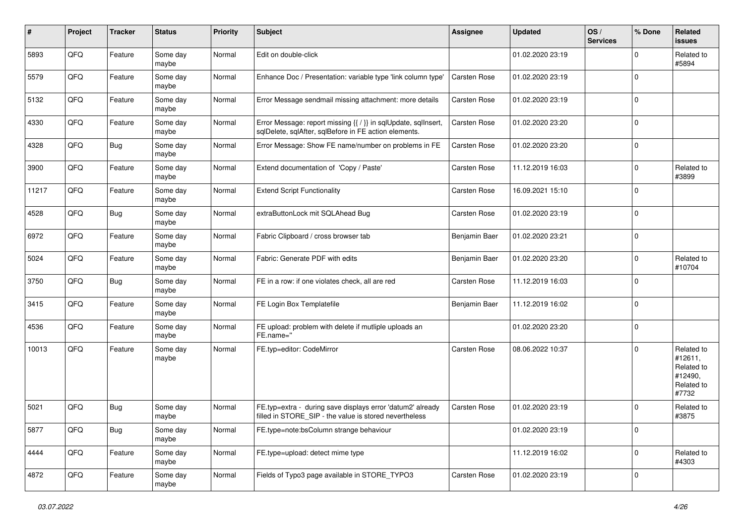| $\sharp$ | Project | <b>Tracker</b> | <b>Status</b>     | Priority | <b>Subject</b>                                                                                                          | <b>Assignee</b>     | <b>Updated</b>   | OS/<br><b>Services</b> | % Done      | Related<br><b>issues</b>                                              |
|----------|---------|----------------|-------------------|----------|-------------------------------------------------------------------------------------------------------------------------|---------------------|------------------|------------------------|-------------|-----------------------------------------------------------------------|
| 5893     | QFQ     | Feature        | Some day<br>maybe | Normal   | Edit on double-click                                                                                                    |                     | 01.02.2020 23:19 |                        | 0           | Related to<br>#5894                                                   |
| 5579     | QFQ     | Feature        | Some day<br>maybe | Normal   | Enhance Doc / Presentation: variable type 'link column type'                                                            | <b>Carsten Rose</b> | 01.02.2020 23:19 |                        | 0           |                                                                       |
| 5132     | QFQ     | Feature        | Some day<br>maybe | Normal   | Error Message sendmail missing attachment: more details                                                                 | <b>Carsten Rose</b> | 01.02.2020 23:19 |                        | 0           |                                                                       |
| 4330     | QFQ     | Feature        | Some day<br>maybe | Normal   | Error Message: report missing {{ / }} in sqlUpdate, sqlInsert,<br>sqlDelete, sqlAfter, sqlBefore in FE action elements. | <b>Carsten Rose</b> | 01.02.2020 23:20 |                        | $\mathbf 0$ |                                                                       |
| 4328     | QFQ     | <b>Bug</b>     | Some day<br>maybe | Normal   | Error Message: Show FE name/number on problems in FE                                                                    | Carsten Rose        | 01.02.2020 23:20 |                        | $\mathbf 0$ |                                                                       |
| 3900     | QFQ     | Feature        | Some day<br>maybe | Normal   | Extend documentation of 'Copy / Paste'                                                                                  | <b>Carsten Rose</b> | 11.12.2019 16:03 |                        | $\Omega$    | Related to<br>#3899                                                   |
| 11217    | QFQ     | Feature        | Some day<br>maybe | Normal   | <b>Extend Script Functionality</b>                                                                                      | <b>Carsten Rose</b> | 16.09.2021 15:10 |                        | 0           |                                                                       |
| 4528     | QFQ     | Bug            | Some day<br>maybe | Normal   | extraButtonLock mit SQLAhead Bug                                                                                        | Carsten Rose        | 01.02.2020 23:19 |                        | $\mathbf 0$ |                                                                       |
| 6972     | QFQ     | Feature        | Some day<br>maybe | Normal   | Fabric Clipboard / cross browser tab                                                                                    | Benjamin Baer       | 01.02.2020 23:21 |                        | 0           |                                                                       |
| 5024     | QFQ     | Feature        | Some day<br>maybe | Normal   | Fabric: Generate PDF with edits                                                                                         | Benjamin Baer       | 01.02.2020 23:20 |                        | 0           | Related to<br>#10704                                                  |
| 3750     | QFQ     | Bug            | Some day<br>maybe | Normal   | FE in a row: if one violates check, all are red                                                                         | <b>Carsten Rose</b> | 11.12.2019 16:03 |                        | $\Omega$    |                                                                       |
| 3415     | QFQ     | Feature        | Some day<br>maybe | Normal   | FE Login Box Templatefile                                                                                               | Benjamin Baer       | 11.12.2019 16:02 |                        | 0           |                                                                       |
| 4536     | QFQ     | Feature        | Some day<br>maybe | Normal   | FE upload: problem with delete if mutliple uploads an<br>FE.name="                                                      |                     | 01.02.2020 23:20 |                        | $\Omega$    |                                                                       |
| 10013    | QFQ     | Feature        | Some day<br>maybe | Normal   | FE.typ=editor: CodeMirror                                                                                               | <b>Carsten Rose</b> | 08.06.2022 10:37 |                        | 0           | Related to<br>#12611,<br>Related to<br>#12490.<br>Related to<br>#7732 |
| 5021     | QFQ     | Bug            | Some day<br>maybe | Normal   | FE.typ=extra - during save displays error 'datum2' already<br>filled in STORE_SIP - the value is stored nevertheless    | <b>Carsten Rose</b> | 01.02.2020 23:19 |                        | 0           | Related to<br>#3875                                                   |
| 5877     | QFQ     | <b>Bug</b>     | Some day<br>maybe | Normal   | FE.type=note:bsColumn strange behaviour                                                                                 |                     | 01.02.2020 23:19 |                        | $\mathbf 0$ |                                                                       |
| 4444     | QFQ     | Feature        | Some day<br>maybe | Normal   | FE.type=upload: detect mime type                                                                                        |                     | 11.12.2019 16:02 |                        | $\mathbf 0$ | Related to<br>#4303                                                   |
| 4872     | QFQ     | Feature        | Some day<br>maybe | Normal   | Fields of Typo3 page available in STORE_TYPO3                                                                           | Carsten Rose        | 01.02.2020 23:19 |                        | 0           |                                                                       |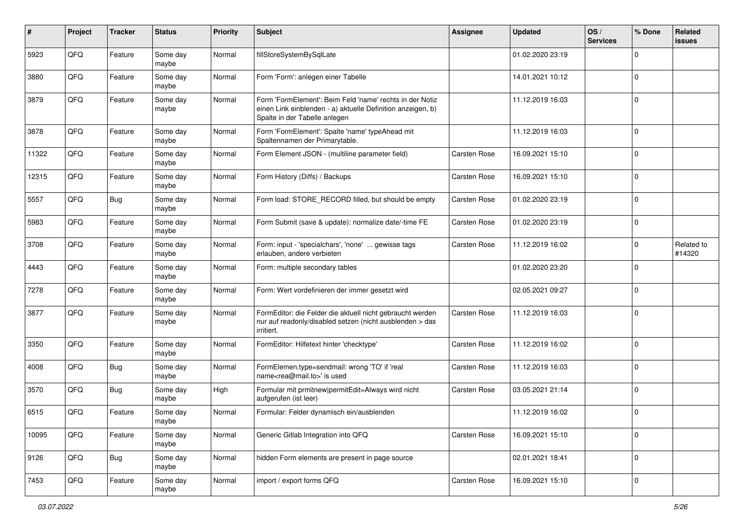| #     | Project | <b>Tracker</b> | <b>Status</b>     | <b>Priority</b> | Subject                                                                                                                                                  | <b>Assignee</b>     | <b>Updated</b>   | OS/<br><b>Services</b> | % Done       | Related<br>issues    |
|-------|---------|----------------|-------------------|-----------------|----------------------------------------------------------------------------------------------------------------------------------------------------------|---------------------|------------------|------------------------|--------------|----------------------|
| 5923  | QFQ     | Feature        | Some day<br>maybe | Normal          | fillStoreSystemBySqlLate                                                                                                                                 |                     | 01.02.2020 23:19 |                        | $\mathbf 0$  |                      |
| 3880  | QFQ     | Feature        | Some day<br>maybe | Normal          | Form 'Form': anlegen einer Tabelle                                                                                                                       |                     | 14.01.2021 10:12 |                        | $\mathbf 0$  |                      |
| 3879  | QFQ     | Feature        | Some day<br>maybe | Normal          | Form 'FormElement': Beim Feld 'name' rechts in der Notiz<br>einen Link einblenden - a) aktuelle Definition anzeigen, b)<br>Spalte in der Tabelle anlegen |                     | 11.12.2019 16:03 |                        | $\mathbf 0$  |                      |
| 3878  | QFQ     | Feature        | Some day<br>maybe | Normal          | Form 'FormElement': Spalte 'name' typeAhead mit<br>Spaltennamen der Primarytable.                                                                        |                     | 11.12.2019 16:03 |                        | $\mathbf 0$  |                      |
| 11322 | QFQ     | Feature        | Some day<br>maybe | Normal          | Form Element JSON - (multiline parameter field)                                                                                                          | Carsten Rose        | 16.09.2021 15:10 |                        | $\mathbf 0$  |                      |
| 12315 | QFQ     | Feature        | Some day<br>maybe | Normal          | Form History (Diffs) / Backups                                                                                                                           | Carsten Rose        | 16.09.2021 15:10 |                        | 0            |                      |
| 5557  | QFQ     | <b>Bug</b>     | Some day<br>maybe | Normal          | Form load: STORE_RECORD filled, but should be empty                                                                                                      | <b>Carsten Rose</b> | 01.02.2020 23:19 |                        | $\mathbf 0$  |                      |
| 5983  | QFQ     | Feature        | Some day<br>maybe | Normal          | Form Submit (save & update): normalize date/-time FE                                                                                                     | Carsten Rose        | 01.02.2020 23:19 |                        | $\mathbf{0}$ |                      |
| 3708  | QFQ     | Feature        | Some day<br>maybe | Normal          | Form: input - 'specialchars', 'none'  gewisse tags<br>erlauben, andere verbieten                                                                         | <b>Carsten Rose</b> | 11.12.2019 16:02 |                        | $\mathbf 0$  | Related to<br>#14320 |
| 4443  | QFQ     | Feature        | Some day<br>maybe | Normal          | Form: multiple secondary tables                                                                                                                          |                     | 01.02.2020 23:20 |                        | $\mathbf 0$  |                      |
| 7278  | QFQ     | Feature        | Some day<br>maybe | Normal          | Form: Wert vordefinieren der immer gesetzt wird                                                                                                          |                     | 02.05.2021 09:27 |                        | $\mathbf 0$  |                      |
| 3877  | QFQ     | Feature        | Some day<br>maybe | Normal          | FormEditor: die Felder die aktuell nicht gebraucht werden<br>nur auf readonly/disabled setzen (nicht ausblenden > das<br>irritiert.                      | Carsten Rose        | 11.12.2019 16:03 |                        | $\Omega$     |                      |
| 3350  | QFQ     | Feature        | Some day<br>maybe | Normal          | FormEditor: Hilfetext hinter 'checktype'                                                                                                                 | Carsten Rose        | 11.12.2019 16:02 |                        | $\mathbf 0$  |                      |
| 4008  | QFQ     | Bug            | Some day<br>maybe | Normal          | FormElemen.type=sendmail: wrong 'TO' if 'real<br>name <rea@mail.to>' is used</rea@mail.to>                                                               | Carsten Rose        | 11.12.2019 16:03 |                        | $\mathbf 0$  |                      |
| 3570  | QFQ     | <b>Bug</b>     | Some day<br>maybe | High            | Formular mit prmitnew permitEdit=Always wird nicht<br>aufgerufen (ist leer)                                                                              | <b>Carsten Rose</b> | 03.05.2021 21:14 |                        | $\mathbf 0$  |                      |
| 6515  | QFQ     | Feature        | Some day<br>maybe | Normal          | Formular: Felder dynamisch ein/ausblenden                                                                                                                |                     | 11.12.2019 16:02 |                        | $\mathbf 0$  |                      |
| 10095 | QFQ     | Feature        | Some day<br>maybe | Normal          | Generic Gitlab Integration into QFQ                                                                                                                      | Carsten Rose        | 16.09.2021 15:10 |                        | $\mathbf 0$  |                      |
| 9126  | QFQ     | Bug            | Some day<br>maybe | Normal          | hidden Form elements are present in page source                                                                                                          |                     | 02.01.2021 18:41 |                        | $\mathsf{O}$ |                      |
| 7453  | QFQ     | Feature        | Some day<br>maybe | Normal          | import / export forms QFQ                                                                                                                                | Carsten Rose        | 16.09.2021 15:10 |                        | $\pmb{0}$    |                      |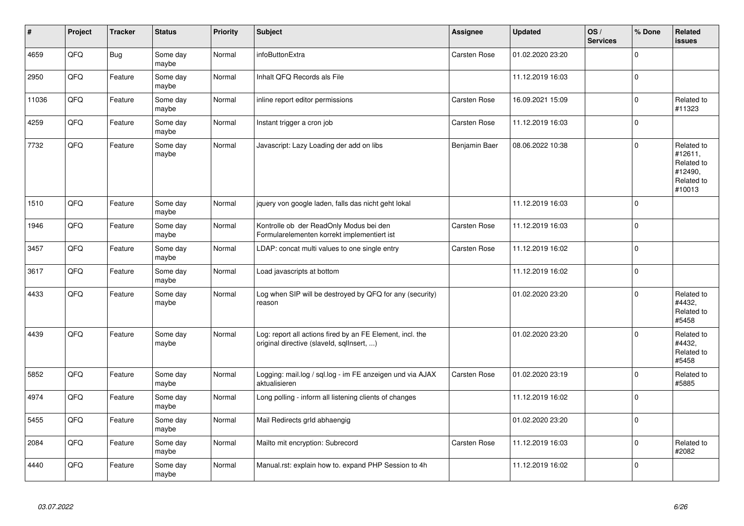| #     | Project | <b>Tracker</b> | <b>Status</b>     | <b>Priority</b> | <b>Subject</b>                                                                                         | Assignee            | <b>Updated</b>   | OS/<br><b>Services</b> | % Done         | Related<br><b>issues</b>                                               |
|-------|---------|----------------|-------------------|-----------------|--------------------------------------------------------------------------------------------------------|---------------------|------------------|------------------------|----------------|------------------------------------------------------------------------|
| 4659  | QFQ     | <b>Bug</b>     | Some day<br>maybe | Normal          | infoButtonExtra                                                                                        | Carsten Rose        | 01.02.2020 23:20 |                        | $\Omega$       |                                                                        |
| 2950  | QFQ     | Feature        | Some day<br>maybe | Normal          | Inhalt QFQ Records als File                                                                            |                     | 11.12.2019 16:03 |                        | $\Omega$       |                                                                        |
| 11036 | QFQ     | Feature        | Some day<br>maybe | Normal          | inline report editor permissions                                                                       | <b>Carsten Rose</b> | 16.09.2021 15:09 |                        | $\Omega$       | Related to<br>#11323                                                   |
| 4259  | QFQ     | Feature        | Some day<br>maybe | Normal          | Instant trigger a cron job                                                                             | <b>Carsten Rose</b> | 11.12.2019 16:03 |                        | $\Omega$       |                                                                        |
| 7732  | QFQ     | Feature        | Some day<br>maybe | Normal          | Javascript: Lazy Loading der add on libs                                                               | Benjamin Baer       | 08.06.2022 10:38 |                        | $\Omega$       | Related to<br>#12611,<br>Related to<br>#12490,<br>Related to<br>#10013 |
| 1510  | QFQ     | Feature        | Some day<br>maybe | Normal          | jquery von google laden, falls das nicht geht lokal                                                    |                     | 11.12.2019 16:03 |                        | $\overline{0}$ |                                                                        |
| 1946  | QFQ     | Feature        | Some day<br>maybe | Normal          | Kontrolle ob der ReadOnly Modus bei den<br>Formularelementen korrekt implementiert ist                 | <b>Carsten Rose</b> | 11.12.2019 16:03 |                        | $\Omega$       |                                                                        |
| 3457  | QFQ     | Feature        | Some day<br>maybe | Normal          | LDAP: concat multi values to one single entry                                                          | <b>Carsten Rose</b> | 11.12.2019 16:02 |                        | $\Omega$       |                                                                        |
| 3617  | QFQ     | Feature        | Some day<br>maybe | Normal          | Load javascripts at bottom                                                                             |                     | 11.12.2019 16:02 |                        | $\mathbf 0$    |                                                                        |
| 4433  | QFQ     | Feature        | Some day<br>maybe | Normal          | Log when SIP will be destroyed by QFQ for any (security)<br>reason                                     |                     | 01.02.2020 23:20 |                        | $\Omega$       | Related to<br>#4432,<br>Related to<br>#5458                            |
| 4439  | QFQ     | Feature        | Some day<br>maybe | Normal          | Log: report all actions fired by an FE Element, incl. the<br>original directive (slaveld, sqllnsert, ) |                     | 01.02.2020 23:20 |                        | $\Omega$       | Related to<br>#4432,<br>Related to<br>#5458                            |
| 5852  | QFQ     | Feature        | Some day<br>maybe | Normal          | Logging: mail.log / sql.log - im FE anzeigen und via AJAX<br>aktualisieren                             | Carsten Rose        | 01.02.2020 23:19 |                        | $\mathbf 0$    | Related to<br>#5885                                                    |
| 4974  | QFQ     | Feature        | Some day<br>maybe | Normal          | Long polling - inform all listening clients of changes                                                 |                     | 11.12.2019 16:02 |                        | $\Omega$       |                                                                        |
| 5455  | QFQ     | Feature        | Some day<br>maybe | Normal          | Mail Redirects grld abhaengig                                                                          |                     | 01.02.2020 23:20 |                        | $\Omega$       |                                                                        |
| 2084  | QFQ     | Feature        | Some day<br>maybe | Normal          | Mailto mit encryption: Subrecord                                                                       | Carsten Rose        | 11.12.2019 16:03 |                        | $\Omega$       | Related to<br>#2082                                                    |
| 4440  | QFQ     | Feature        | Some day<br>maybe | Normal          | Manual.rst: explain how to. expand PHP Session to 4h                                                   |                     | 11.12.2019 16:02 |                        | $\overline{0}$ |                                                                        |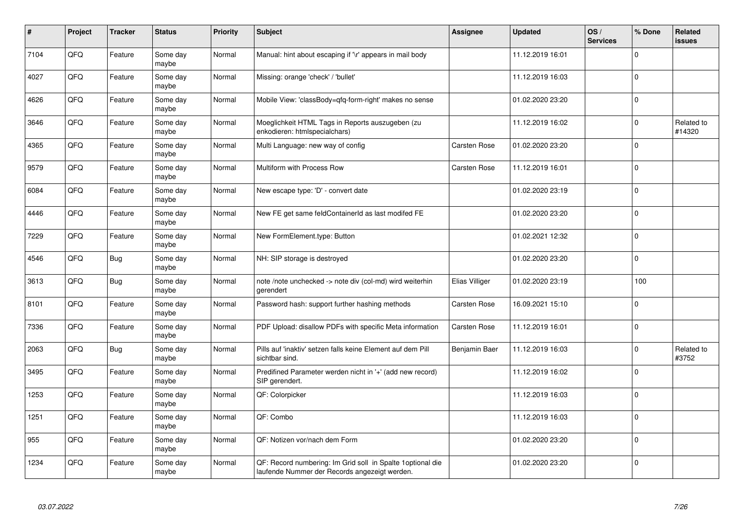| #    | Project | <b>Tracker</b> | <b>Status</b>     | <b>Priority</b> | <b>Subject</b>                                                                                              | <b>Assignee</b>     | <b>Updated</b>   | OS/<br><b>Services</b> | % Done      | Related<br><b>issues</b> |
|------|---------|----------------|-------------------|-----------------|-------------------------------------------------------------------------------------------------------------|---------------------|------------------|------------------------|-------------|--------------------------|
| 7104 | QFQ     | Feature        | Some day<br>maybe | Normal          | Manual: hint about escaping if '\r' appears in mail body                                                    |                     | 11.12.2019 16:01 |                        | $\Omega$    |                          |
| 4027 | QFQ     | Feature        | Some day<br>maybe | Normal          | Missing: orange 'check' / 'bullet'                                                                          |                     | 11.12.2019 16:03 |                        | $\Omega$    |                          |
| 4626 | QFQ     | Feature        | Some day<br>maybe | Normal          | Mobile View: 'classBody=qfq-form-right' makes no sense                                                      |                     | 01.02.2020 23:20 |                        | $\Omega$    |                          |
| 3646 | QFQ     | Feature        | Some day<br>maybe | Normal          | Moeglichkeit HTML Tags in Reports auszugeben (zu<br>enkodieren: htmlspecialchars)                           |                     | 11.12.2019 16:02 |                        | $\Omega$    | Related to<br>#14320     |
| 4365 | QFQ     | Feature        | Some day<br>maybe | Normal          | Multi Language: new way of config                                                                           | Carsten Rose        | 01.02.2020 23:20 |                        | $\mathbf 0$ |                          |
| 9579 | QFQ     | Feature        | Some day<br>maybe | Normal          | Multiform with Process Row                                                                                  | <b>Carsten Rose</b> | 11.12.2019 16:01 |                        | $\Omega$    |                          |
| 6084 | QFQ     | Feature        | Some day<br>maybe | Normal          | New escape type: 'D' - convert date                                                                         |                     | 01.02.2020 23:19 |                        | $\Omega$    |                          |
| 4446 | QFQ     | Feature        | Some day<br>maybe | Normal          | New FE get same feldContainerId as last modifed FE                                                          |                     | 01.02.2020 23:20 |                        | $\Omega$    |                          |
| 7229 | QFQ     | Feature        | Some day<br>maybe | Normal          | New FormElement.type: Button                                                                                |                     | 01.02.2021 12:32 |                        | $\Omega$    |                          |
| 4546 | QFQ     | <b>Bug</b>     | Some day<br>maybe | Normal          | NH: SIP storage is destroyed                                                                                |                     | 01.02.2020 23:20 |                        | $\Omega$    |                          |
| 3613 | QFQ     | Bug            | Some day<br>maybe | Normal          | note /note unchecked -> note div (col-md) wird weiterhin<br>gerendert                                       | Elias Villiger      | 01.02.2020 23:19 |                        | 100         |                          |
| 8101 | QFQ     | Feature        | Some day<br>maybe | Normal          | Password hash: support further hashing methods                                                              | <b>Carsten Rose</b> | 16.09.2021 15:10 |                        | $\mathbf 0$ |                          |
| 7336 | QFQ     | Feature        | Some day<br>maybe | Normal          | PDF Upload: disallow PDFs with specific Meta information                                                    | <b>Carsten Rose</b> | 11.12.2019 16:01 |                        | $\Omega$    |                          |
| 2063 | QFQ     | Bug            | Some day<br>maybe | Normal          | Pills auf 'inaktiv' setzen falls keine Element auf dem Pill<br>sichtbar sind.                               | Benjamin Baer       | 11.12.2019 16:03 |                        | $\mathbf 0$ | Related to<br>#3752      |
| 3495 | QFQ     | Feature        | Some day<br>maybe | Normal          | Predifined Parameter werden nicht in '+' (add new record)<br>SIP gerendert.                                 |                     | 11.12.2019 16:02 |                        | $\Omega$    |                          |
| 1253 | QFQ     | Feature        | Some day<br>maybe | Normal          | QF: Colorpicker                                                                                             |                     | 11.12.2019 16:03 |                        | $\Omega$    |                          |
| 1251 | QFQ     | Feature        | Some day<br>maybe | Normal          | QF: Combo                                                                                                   |                     | 11.12.2019 16:03 |                        | $\Omega$    |                          |
| 955  | QFQ     | Feature        | Some day<br>maybe | Normal          | QF: Notizen vor/nach dem Form                                                                               |                     | 01.02.2020 23:20 |                        | $\Omega$    |                          |
| 1234 | QFQ     | Feature        | Some day<br>maybe | Normal          | QF: Record numbering: Im Grid soll in Spalte 1optional die<br>laufende Nummer der Records angezeigt werden. |                     | 01.02.2020 23:20 |                        | $\Omega$    |                          |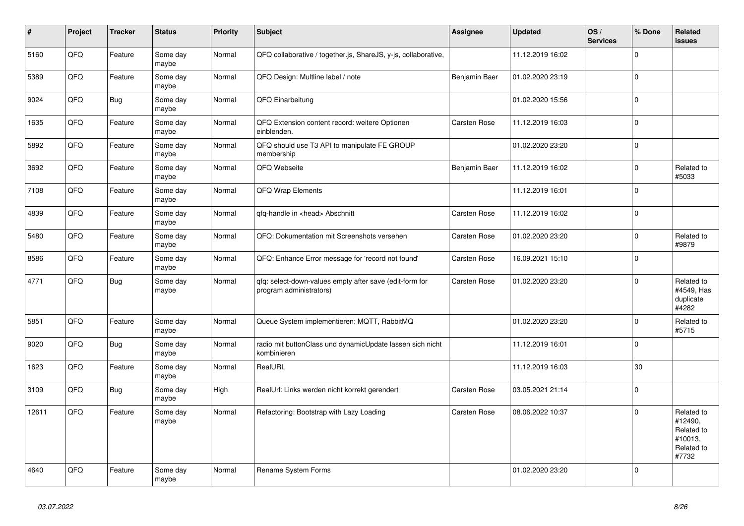| $\vert$ # | <b>Project</b> | <b>Tracker</b> | <b>Status</b>     | <b>Priority</b> | <b>Subject</b>                                                                     | Assignee            | <b>Updated</b>   | OS/<br><b>Services</b> | % Done       | Related<br><b>issues</b>                                              |
|-----------|----------------|----------------|-------------------|-----------------|------------------------------------------------------------------------------------|---------------------|------------------|------------------------|--------------|-----------------------------------------------------------------------|
| 5160      | QFQ            | Feature        | Some day<br>maybe | Normal          | QFQ collaborative / together.js, ShareJS, y-js, collaborative,                     |                     | 11.12.2019 16:02 |                        | $\Omega$     |                                                                       |
| 5389      | QFQ            | Feature        | Some day<br>maybe | Normal          | QFQ Design: Multline label / note                                                  | Benjamin Baer       | 01.02.2020 23:19 |                        | $\Omega$     |                                                                       |
| 9024      | QFQ            | <b>Bug</b>     | Some day<br>maybe | Normal          | QFQ Einarbeitung                                                                   |                     | 01.02.2020 15:56 |                        | $\Omega$     |                                                                       |
| 1635      | QFQ            | Feature        | Some day<br>maybe | Normal          | QFQ Extension content record: weitere Optionen<br>einblenden.                      | Carsten Rose        | 11.12.2019 16:03 |                        | 0            |                                                                       |
| 5892      | QFQ            | Feature        | Some day<br>maybe | Normal          | QFQ should use T3 API to manipulate FE GROUP<br>membership                         |                     | 01.02.2020 23:20 |                        | $\Omega$     |                                                                       |
| 3692      | QFQ            | Feature        | Some day<br>maybe | Normal          | QFQ Webseite                                                                       | Benjamin Baer       | 11.12.2019 16:02 |                        | $\Omega$     | Related to<br>#5033                                                   |
| 7108      | QFQ            | Feature        | Some day<br>maybe | Normal          | <b>QFQ Wrap Elements</b>                                                           |                     | 11.12.2019 16:01 |                        | $\Omega$     |                                                                       |
| 4839      | QFQ            | Feature        | Some day<br>maybe | Normal          | qfq-handle in <head> Abschnitt</head>                                              | <b>Carsten Rose</b> | 11.12.2019 16:02 |                        | $\Omega$     |                                                                       |
| 5480      | QFQ            | Feature        | Some day<br>maybe | Normal          | QFQ: Dokumentation mit Screenshots versehen                                        | Carsten Rose        | 01.02.2020 23:20 |                        | $\Omega$     | Related to<br>#9879                                                   |
| 8586      | QFQ            | Feature        | Some day<br>maybe | Normal          | QFQ: Enhance Error message for 'record not found'                                  | <b>Carsten Rose</b> | 16.09.2021 15:10 |                        | 0            |                                                                       |
| 4771      | QFQ            | <b>Bug</b>     | Some day<br>maybe | Normal          | qfq: select-down-values empty after save (edit-form for<br>program administrators) | Carsten Rose        | 01.02.2020 23:20 |                        | 0            | Related to<br>#4549, Has<br>duplicate<br>#4282                        |
| 5851      | QFQ            | Feature        | Some day<br>maybe | Normal          | Queue System implementieren: MQTT, RabbitMQ                                        |                     | 01.02.2020 23:20 |                        | 0            | Related to<br>#5715                                                   |
| 9020      | QFQ            | <b>Bug</b>     | Some day<br>maybe | Normal          | radio mit buttonClass und dynamicUpdate lassen sich nicht<br>kombinieren           |                     | 11.12.2019 16:01 |                        | <sup>0</sup> |                                                                       |
| 1623      | QFQ            | Feature        | Some day<br>maybe | Normal          | RealURL                                                                            |                     | 11.12.2019 16:03 |                        | 30           |                                                                       |
| 3109      | QFQ            | <b>Bug</b>     | Some day<br>maybe | High            | RealUrl: Links werden nicht korrekt gerendert                                      | Carsten Rose        | 03.05.2021 21:14 |                        | $\Omega$     |                                                                       |
| 12611     | QFQ            | Feature        | Some day<br>maybe | Normal          | Refactoring: Bootstrap with Lazy Loading                                           | Carsten Rose        | 08.06.2022 10:37 |                        | $\Omega$     | Related to<br>#12490,<br>Related to<br>#10013,<br>Related to<br>#7732 |
| 4640      | QFQ            | Feature        | Some day<br>maybe | Normal          | Rename System Forms                                                                |                     | 01.02.2020 23:20 |                        | $\Omega$     |                                                                       |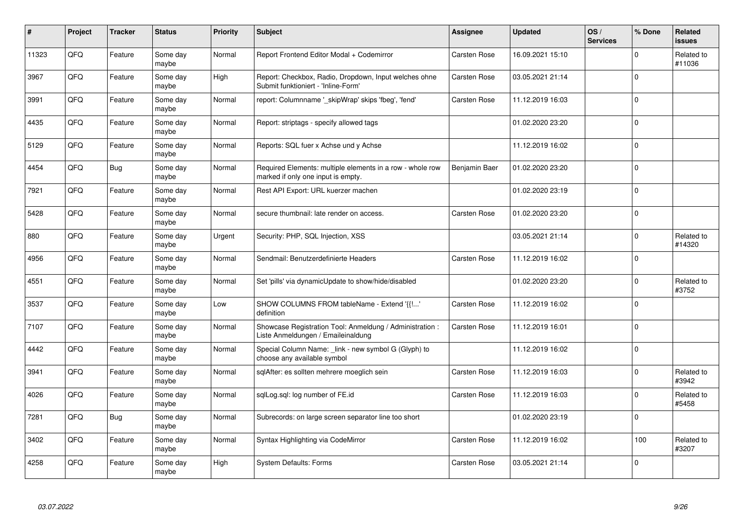| #     | Project | <b>Tracker</b> | <b>Status</b>     | <b>Priority</b> | <b>Subject</b>                                                                                  | <b>Assignee</b>     | <b>Updated</b>   | OS/<br><b>Services</b> | % Done       | Related<br>issues    |
|-------|---------|----------------|-------------------|-----------------|-------------------------------------------------------------------------------------------------|---------------------|------------------|------------------------|--------------|----------------------|
| 11323 | QFQ     | Feature        | Some day<br>maybe | Normal          | Report Frontend Editor Modal + Codemirror                                                       | <b>Carsten Rose</b> | 16.09.2021 15:10 |                        | $\mathbf 0$  | Related to<br>#11036 |
| 3967  | QFQ     | Feature        | Some day<br>maybe | High            | Report: Checkbox, Radio, Dropdown, Input welches ohne<br>Submit funktioniert - 'Inline-Form'    | <b>Carsten Rose</b> | 03.05.2021 21:14 |                        | $\mathbf 0$  |                      |
| 3991  | QFQ     | Feature        | Some day<br>maybe | Normal          | report: Columnname '_skipWrap' skips 'fbeg', 'fend'                                             | <b>Carsten Rose</b> | 11.12.2019 16:03 |                        | $\Omega$     |                      |
| 4435  | QFQ     | Feature        | Some day<br>maybe | Normal          | Report: striptags - specify allowed tags                                                        |                     | 01.02.2020 23:20 |                        | $\Omega$     |                      |
| 5129  | QFQ     | Feature        | Some day<br>maybe | Normal          | Reports: SQL fuer x Achse und y Achse                                                           |                     | 11.12.2019 16:02 |                        | $\mathbf{0}$ |                      |
| 4454  | QFQ     | Bug            | Some day<br>maybe | Normal          | Required Elements: multiple elements in a row - whole row<br>marked if only one input is empty. | Benjamin Baer       | 01.02.2020 23:20 |                        | $\Omega$     |                      |
| 7921  | QFQ     | Feature        | Some day<br>maybe | Normal          | Rest API Export: URL kuerzer machen                                                             |                     | 01.02.2020 23:19 |                        | $\Omega$     |                      |
| 5428  | QFQ     | Feature        | Some day<br>maybe | Normal          | secure thumbnail: late render on access.                                                        | Carsten Rose        | 01.02.2020 23:20 |                        | $\mathbf 0$  |                      |
| 880   | QFQ     | Feature        | Some day<br>maybe | Urgent          | Security: PHP, SQL Injection, XSS                                                               |                     | 03.05.2021 21:14 |                        | $\Omega$     | Related to<br>#14320 |
| 4956  | QFQ     | Feature        | Some day<br>maybe | Normal          | Sendmail: Benutzerdefinierte Headers                                                            | <b>Carsten Rose</b> | 11.12.2019 16:02 |                        | $\mathbf 0$  |                      |
| 4551  | QFQ     | Feature        | Some day<br>maybe | Normal          | Set 'pills' via dynamicUpdate to show/hide/disabled                                             |                     | 01.02.2020 23:20 |                        | $\mathbf 0$  | Related to<br>#3752  |
| 3537  | QFQ     | Feature        | Some day<br>maybe | Low             | SHOW COLUMNS FROM tableName - Extend '{{!'<br>definition                                        | <b>Carsten Rose</b> | 11.12.2019 16:02 |                        | $\mathbf 0$  |                      |
| 7107  | QFQ     | Feature        | Some day<br>maybe | Normal          | Showcase Registration Tool: Anmeldung / Administration :<br>Liste Anmeldungen / Emaileinaldung  | <b>Carsten Rose</b> | 11.12.2019 16:01 |                        | $\mathbf 0$  |                      |
| 4442  | QFQ     | Feature        | Some day<br>maybe | Normal          | Special Column Name: _link - new symbol G (Glyph) to<br>choose any available symbol             |                     | 11.12.2019 16:02 |                        | $\mathbf 0$  |                      |
| 3941  | QFQ     | Feature        | Some day<br>maybe | Normal          | sqlAfter: es sollten mehrere moeglich sein                                                      | <b>Carsten Rose</b> | 11.12.2019 16:03 |                        | $\Omega$     | Related to<br>#3942  |
| 4026  | QFQ     | Feature        | Some day<br>maybe | Normal          | sqlLog.sql: log number of FE.id                                                                 | <b>Carsten Rose</b> | 11.12.2019 16:03 |                        | $\Omega$     | Related to<br>#5458  |
| 7281  | QFQ     | Bug            | Some day<br>maybe | Normal          | Subrecords: on large screen separator line too short                                            |                     | 01.02.2020 23:19 |                        | $\mathbf 0$  |                      |
| 3402  | QFQ     | Feature        | Some day<br>maybe | Normal          | Syntax Highlighting via CodeMirror                                                              | <b>Carsten Rose</b> | 11.12.2019 16:02 |                        | 100          | Related to<br>#3207  |
| 4258  | QFQ     | Feature        | Some day<br>maybe | High            | <b>System Defaults: Forms</b>                                                                   | <b>Carsten Rose</b> | 03.05.2021 21:14 |                        | $\Omega$     |                      |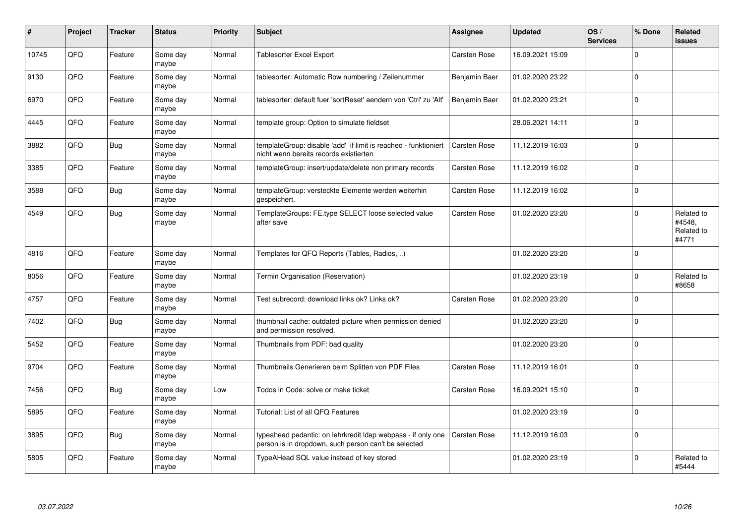| #     | Project | <b>Tracker</b> | <b>Status</b>     | <b>Priority</b> | <b>Subject</b>                                                                                                       | Assignee            | <b>Updated</b>   | OS/<br><b>Services</b> | % Done       | Related<br>issues                           |
|-------|---------|----------------|-------------------|-----------------|----------------------------------------------------------------------------------------------------------------------|---------------------|------------------|------------------------|--------------|---------------------------------------------|
| 10745 | QFQ     | Feature        | Some day<br>maybe | Normal          | Tablesorter Excel Export                                                                                             | <b>Carsten Rose</b> | 16.09.2021 15:09 |                        | $\mathbf 0$  |                                             |
| 9130  | QFQ     | Feature        | Some day<br>maybe | Normal          | tablesorter: Automatic Row numbering / Zeilenummer                                                                   | Benjamin Baer       | 01.02.2020 23:22 |                        | $\mathbf 0$  |                                             |
| 6970  | QFQ     | Feature        | Some day<br>maybe | Normal          | tablesorter: default fuer 'sortReset' aendern von 'Ctrl' zu 'Alt'                                                    | Benjamin Baer       | 01.02.2020 23:21 |                        | $\Omega$     |                                             |
| 4445  | QFQ     | Feature        | Some day<br>maybe | Normal          | template group: Option to simulate fieldset                                                                          |                     | 28.06.2021 14:11 |                        | $\mathbf 0$  |                                             |
| 3882  | QFQ     | Bug            | Some day<br>maybe | Normal          | templateGroup: disable 'add' if limit is reached - funktioniert<br>nicht wenn bereits records existierten            | <b>Carsten Rose</b> | 11.12.2019 16:03 |                        | $\mathbf 0$  |                                             |
| 3385  | QFQ     | Feature        | Some day<br>maybe | Normal          | templateGroup: insert/update/delete non primary records                                                              | Carsten Rose        | 11.12.2019 16:02 |                        | $\Omega$     |                                             |
| 3588  | QFQ     | <b>Bug</b>     | Some day<br>maybe | Normal          | templateGroup: versteckte Elemente werden weiterhin<br>gespeichert.                                                  | <b>Carsten Rose</b> | 11.12.2019 16:02 |                        | $\mathbf 0$  |                                             |
| 4549  | QFQ     | <b>Bug</b>     | Some day<br>maybe | Normal          | TemplateGroups: FE.type SELECT loose selected value<br>after save                                                    | Carsten Rose        | 01.02.2020 23:20 |                        | $\Omega$     | Related to<br>#4548,<br>Related to<br>#4771 |
| 4816  | QFQ     | Feature        | Some day<br>maybe | Normal          | Templates for QFQ Reports (Tables, Radios, )                                                                         |                     | 01.02.2020 23:20 |                        | $\mathbf 0$  |                                             |
| 8056  | QFQ     | Feature        | Some day<br>maybe | Normal          | Termin Organisation (Reservation)                                                                                    |                     | 01.02.2020 23:19 |                        | $\mathbf{0}$ | Related to<br>#8658                         |
| 4757  | QFQ     | Feature        | Some day<br>maybe | Normal          | Test subrecord: download links ok? Links ok?                                                                         | <b>Carsten Rose</b> | 01.02.2020 23:20 |                        | $\Omega$     |                                             |
| 7402  | QFQ     | Bug            | Some day<br>maybe | Normal          | thumbnail cache: outdated picture when permission denied<br>and permission resolved.                                 |                     | 01.02.2020 23:20 |                        | $\mathbf 0$  |                                             |
| 5452  | QFQ     | Feature        | Some day<br>maybe | Normal          | Thumbnails from PDF: bad quality                                                                                     |                     | 01.02.2020 23:20 |                        | $\Omega$     |                                             |
| 9704  | QFQ     | Feature        | Some day<br>maybe | Normal          | Thumbnails Generieren beim Splitten von PDF Files                                                                    | Carsten Rose        | 11.12.2019 16:01 |                        | $\Omega$     |                                             |
| 7456  | QFQ     | Bug            | Some dav<br>maybe | Low             | Todos in Code: solve or make ticket                                                                                  | Carsten Rose        | 16.09.2021 15:10 |                        | $\mathbf 0$  |                                             |
| 5895  | QFQ     | Feature        | Some day<br>maybe | Normal          | Tutorial: List of all QFQ Features                                                                                   |                     | 01.02.2020 23:19 |                        | $\Omega$     |                                             |
| 3895  | QFQ     | <b>Bug</b>     | Some day<br>maybe | Normal          | typeahead pedantic: on lehrkredit Idap webpass - if only one<br>person is in dropdown, such person can't be selected | Carsten Rose        | 11.12.2019 16:03 |                        | $\Omega$     |                                             |
| 5805  | QFQ     | Feature        | Some day<br>maybe | Normal          | TypeAHead SQL value instead of key stored                                                                            |                     | 01.02.2020 23:19 |                        | $\mathbf 0$  | Related to<br>#5444                         |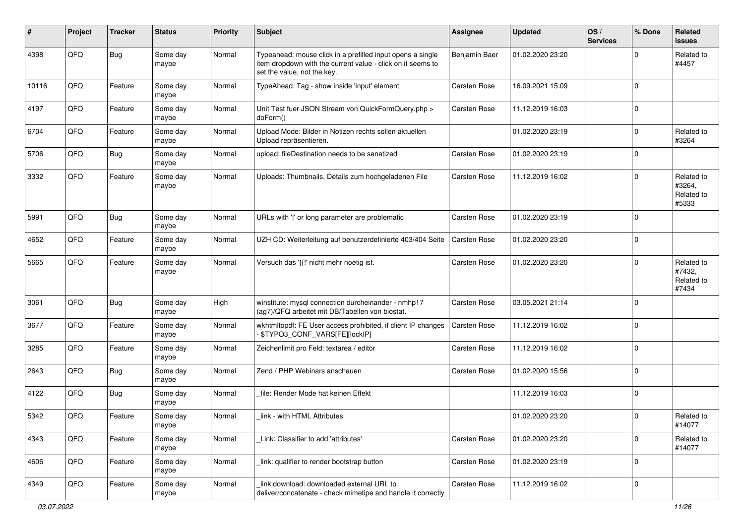| #     | Project | <b>Tracker</b> | <b>Status</b>     | <b>Priority</b> | Subject                                                                                                                                                  | Assignee            | <b>Updated</b>   | OS/<br><b>Services</b> | % Done       | Related<br><b>issues</b>                    |
|-------|---------|----------------|-------------------|-----------------|----------------------------------------------------------------------------------------------------------------------------------------------------------|---------------------|------------------|------------------------|--------------|---------------------------------------------|
| 4398  | QFQ     | <b>Bug</b>     | Some day<br>maybe | Normal          | Typeahead: mouse click in a prefilled input opens a single<br>item dropdown with the current value - click on it seems to<br>set the value, not the key. | Benjamin Baer       | 01.02.2020 23:20 |                        | <sup>0</sup> | Related to<br>#4457                         |
| 10116 | QFQ     | Feature        | Some day<br>maybe | Normal          | TypeAhead: Tag - show inside 'input' element                                                                                                             | <b>Carsten Rose</b> | 16.09.2021 15:09 |                        | $\Omega$     |                                             |
| 4197  | QFQ     | Feature        | Some day<br>maybe | Normal          | Unit Test fuer JSON Stream von QuickFormQuery.php ><br>doForm()                                                                                          | <b>Carsten Rose</b> | 11.12.2019 16:03 |                        | 0            |                                             |
| 6704  | QFQ     | Feature        | Some day<br>maybe | Normal          | Upload Mode: Bilder in Notizen rechts sollen aktuellen<br>Upload repräsentieren.                                                                         |                     | 01.02.2020 23:19 |                        | 0            | Related to<br>#3264                         |
| 5706  | QFQ     | <b>Bug</b>     | Some day<br>maybe | Normal          | upload: fileDestination needs to be sanatized                                                                                                            | <b>Carsten Rose</b> | 01.02.2020 23:19 |                        | 0            |                                             |
| 3332  | QFQ     | Feature        | Some day<br>maybe | Normal          | Uploads: Thumbnails, Details zum hochgeladenen File                                                                                                      | <b>Carsten Rose</b> | 11.12.2019 16:02 |                        | 0            | Related to<br>#3264,<br>Related to<br>#5333 |
| 5991  | QFQ     | <b>Bug</b>     | Some day<br>maybe | Normal          | URLs with ' ' or long parameter are problematic                                                                                                          | <b>Carsten Rose</b> | 01.02.2020 23:19 |                        | 0            |                                             |
| 4652  | QFQ     | Feature        | Some day<br>maybe | Normal          | UZH CD: Weiterleitung auf benutzerdefinierte 403/404 Seite                                                                                               | Carsten Rose        | 01.02.2020 23:20 |                        | $\Omega$     |                                             |
| 5665  | QFQ     | Feature        | Some day<br>maybe | Normal          | Versuch das '{{!' nicht mehr noetig ist.                                                                                                                 | <b>Carsten Rose</b> | 01.02.2020 23:20 |                        | 0            | Related to<br>#7432,<br>Related to<br>#7434 |
| 3061  | QFQ     | <b>Bug</b>     | Some day<br>maybe | High            | winstitute: mysql connection durcheinander - nmhp17<br>(ag7)/QFQ arbeitet mit DB/Tabellen von biostat.                                                   | <b>Carsten Rose</b> | 03.05.2021 21:14 |                        | $\Omega$     |                                             |
| 3677  | QFQ     | Feature        | Some day<br>maybe | Normal          | wkhtmltopdf: FE User access prohibited, if client IP changes<br>- \$TYPO3_CONF_VARS[FE][lockIP]                                                          | <b>Carsten Rose</b> | 11.12.2019 16:02 |                        | 0            |                                             |
| 3285  | QFQ     | Feature        | Some day<br>maybe | Normal          | Zeichenlimit pro Feld: textarea / editor                                                                                                                 | <b>Carsten Rose</b> | 11.12.2019 16:02 |                        | 0            |                                             |
| 2643  | QFQ     | <b>Bug</b>     | Some day<br>maybe | Normal          | Zend / PHP Webinars anschauen                                                                                                                            | Carsten Rose        | 01.02.2020 15:56 |                        | $\Omega$     |                                             |
| 4122  | QFQ     | <b>Bug</b>     | Some day<br>maybe | Normal          | file: Render Mode hat keinen Effekt                                                                                                                      |                     | 11.12.2019 16:03 |                        | 0            |                                             |
| 5342  | QFQ     | Feature        | Some day<br>maybe | Normal          | link - with HTML Attributes                                                                                                                              |                     | 01.02.2020 23:20 |                        | 0            | Related to<br>#14077                        |
| 4343  | QFO     | Feature        | Some day<br>maybe | Normal          | Link: Classifier to add 'attributes'                                                                                                                     | Carsten Rose        | 01.02.2020 23:20 |                        | 0            | Related to<br>#14077                        |
| 4606  | QFG     | Feature        | Some day<br>maybe | Normal          | link: qualifier to render bootstrap button                                                                                                               | Carsten Rose        | 01.02.2020 23:19 |                        | $\mathbf 0$  |                                             |
| 4349  | QFO     | Feature        | Some day<br>maybe | Normal          | link download: downloaded external URL to<br>deliver/concatenate - check mimetipe and handle it correctly                                                | Carsten Rose        | 11.12.2019 16:02 |                        | 0            |                                             |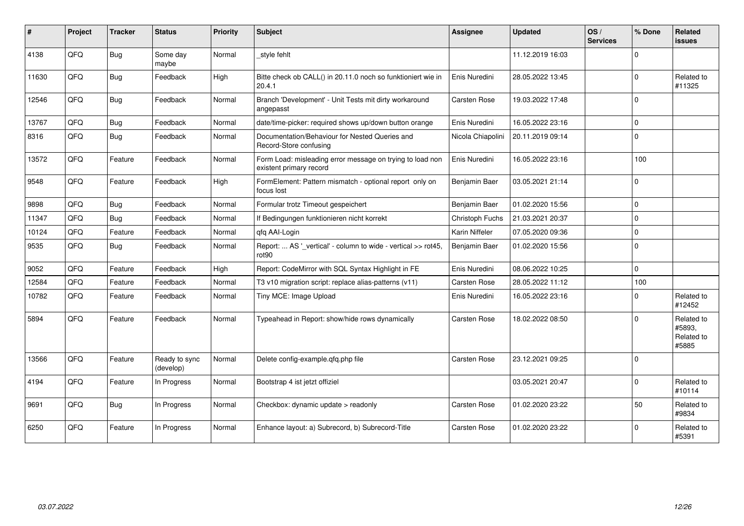| ∦     | Project | <b>Tracker</b> | <b>Status</b>              | <b>Priority</b> | <b>Subject</b>                                                                       | <b>Assignee</b>     | <b>Updated</b>   | OS/<br><b>Services</b> | % Done       | <b>Related</b><br><b>issues</b>             |
|-------|---------|----------------|----------------------------|-----------------|--------------------------------------------------------------------------------------|---------------------|------------------|------------------------|--------------|---------------------------------------------|
| 4138  | QFQ     | Bug            | Some day<br>maybe          | Normal          | style fehlt                                                                          |                     | 11.12.2019 16:03 |                        | 0            |                                             |
| 11630 | QFQ     | <b>Bug</b>     | Feedback                   | High            | Bitte check ob CALL() in 20.11.0 noch so funktioniert wie in<br>20.4.1               | Enis Nuredini       | 28.05.2022 13:45 |                        | $\Omega$     | Related to<br>#11325                        |
| 12546 | QFQ     | Bug            | Feedback                   | Normal          | Branch 'Development' - Unit Tests mit dirty workaround<br>angepasst                  | Carsten Rose        | 19.03.2022 17:48 |                        | $\Omega$     |                                             |
| 13767 | QFQ     | <b>Bug</b>     | Feedback                   | Normal          | date/time-picker: required shows up/down button orange                               | Enis Nuredini       | 16.05.2022 23:16 |                        | $\Omega$     |                                             |
| 8316  | QFQ     | <b>Bug</b>     | Feedback                   | Normal          | Documentation/Behaviour for Nested Queries and<br>Record-Store confusing             | Nicola Chiapolini   | 20.11.2019 09:14 |                        | 0            |                                             |
| 13572 | QFQ     | Feature        | Feedback                   | Normal          | Form Load: misleading error message on trying to load non<br>existent primary record | Enis Nuredini       | 16.05.2022 23:16 |                        | 100          |                                             |
| 9548  | QFQ     | Feature        | Feedback                   | High            | FormElement: Pattern mismatch - optional report only on<br>focus lost                | Benjamin Baer       | 03.05.2021 21:14 |                        | <sup>0</sup> |                                             |
| 9898  | QFQ     | <b>Bug</b>     | Feedback                   | Normal          | Formular trotz Timeout gespeichert                                                   | Benjamin Baer       | 01.02.2020 15:56 |                        | 0            |                                             |
| 11347 | QFQ     | <b>Bug</b>     | Feedback                   | Normal          | If Bedingungen funktionieren nicht korrekt                                           | Christoph Fuchs     | 21.03.2021 20:37 |                        | 0            |                                             |
| 10124 | QFQ     | Feature        | Feedback                   | Normal          | qfq AAI-Login                                                                        | Karin Niffeler      | 07.05.2020 09:36 |                        | 0            |                                             |
| 9535  | QFQ     | <b>Bug</b>     | Feedback                   | Normal          | Report:  AS '_vertical' - column to wide - vertical >> rot45,<br>rot90               | Benjamin Baer       | 01.02.2020 15:56 |                        | $\Omega$     |                                             |
| 9052  | QFQ     | Feature        | Feedback                   | High            | Report: CodeMirror with SQL Syntax Highlight in FE                                   | Enis Nuredini       | 08.06.2022 10:25 |                        | 0            |                                             |
| 12584 | QFQ     | Feature        | Feedback                   | Normal          | T3 v10 migration script: replace alias-patterns (v11)                                | Carsten Rose        | 28.05.2022 11:12 |                        | 100          |                                             |
| 10782 | QFQ     | Feature        | Feedback                   | Normal          | Tiny MCE: Image Upload                                                               | Enis Nuredini       | 16.05.2022 23:16 |                        | $\Omega$     | Related to<br>#12452                        |
| 5894  | QFQ     | Feature        | Feedback                   | Normal          | Typeahead in Report: show/hide rows dynamically                                      | Carsten Rose        | 18.02.2022 08:50 |                        | 0            | Related to<br>#5893,<br>Related to<br>#5885 |
| 13566 | QFQ     | Feature        | Ready to sync<br>(develop) | Normal          | Delete config-example.qfq.php file                                                   | <b>Carsten Rose</b> | 23.12.2021 09:25 |                        | $\Omega$     |                                             |
| 4194  | QFQ     | Feature        | In Progress                | Normal          | Bootstrap 4 ist jetzt offiziel                                                       |                     | 03.05.2021 20:47 |                        | 0            | Related to<br>#10114                        |
| 9691  | QFQ     | Bug            | In Progress                | Normal          | Checkbox: dynamic update > readonly                                                  | Carsten Rose        | 01.02.2020 23:22 |                        | 50           | Related to<br>#9834                         |
| 6250  | QFQ     | Feature        | In Progress                | Normal          | Enhance layout: a) Subrecord, b) Subrecord-Title                                     | Carsten Rose        | 01.02.2020 23:22 |                        | $\Omega$     | Related to<br>#5391                         |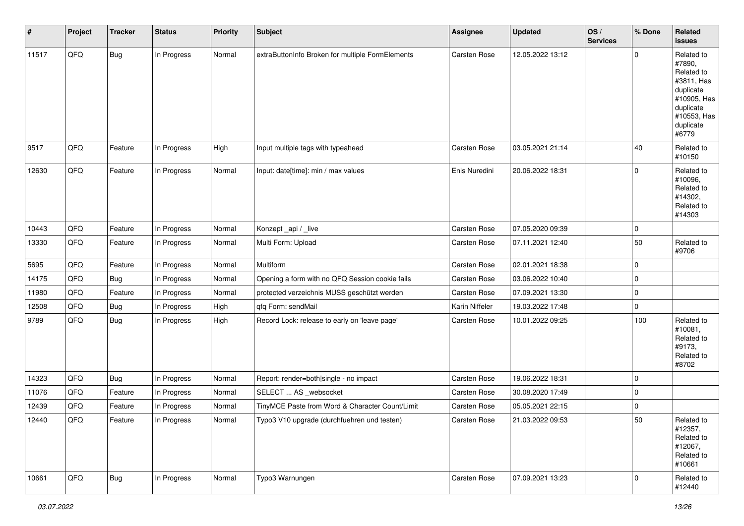| #     | Project | <b>Tracker</b> | <b>Status</b> | <b>Priority</b> | <b>Subject</b>                                   | <b>Assignee</b>     | <b>Updated</b>   | OS/<br><b>Services</b> | % Done         | Related<br><b>issues</b>                                                                                                       |
|-------|---------|----------------|---------------|-----------------|--------------------------------------------------|---------------------|------------------|------------------------|----------------|--------------------------------------------------------------------------------------------------------------------------------|
| 11517 | QFQ     | Bug            | In Progress   | Normal          | extraButtonInfo Broken for multiple FormElements | Carsten Rose        | 12.05.2022 13:12 |                        | $\Omega$       | Related to<br>#7890,<br>Related to<br>#3811, Has<br>duplicate<br>#10905, Has<br>duplicate<br>#10553, Has<br>duplicate<br>#6779 |
| 9517  | QFQ     | Feature        | In Progress   | High            | Input multiple tags with typeahead               | Carsten Rose        | 03.05.2021 21:14 |                        | 40             | Related to<br>#10150                                                                                                           |
| 12630 | QFQ     | Feature        | In Progress   | Normal          | Input: date[time]: min / max values              | Enis Nuredini       | 20.06.2022 18:31 |                        | $\mathbf 0$    | Related to<br>#10096,<br>Related to<br>#14302,<br>Related to<br>#14303                                                         |
| 10443 | QFQ     | Feature        | In Progress   | Normal          | Konzept_api / _live                              | Carsten Rose        | 07.05.2020 09:39 |                        | $\mathbf 0$    |                                                                                                                                |
| 13330 | QFQ     | Feature        | In Progress   | Normal          | Multi Form: Upload                               | Carsten Rose        | 07.11.2021 12:40 |                        | 50             | Related to<br>#9706                                                                                                            |
| 5695  | QFQ     | Feature        | In Progress   | Normal          | Multiform                                        | <b>Carsten Rose</b> | 02.01.2021 18:38 |                        | $\mathbf 0$    |                                                                                                                                |
| 14175 | QFQ     | <b>Bug</b>     | In Progress   | Normal          | Opening a form with no QFQ Session cookie fails  | Carsten Rose        | 03.06.2022 10:40 |                        | $\mathbf 0$    |                                                                                                                                |
| 11980 | QFQ     | Feature        | In Progress   | Normal          | protected verzeichnis MUSS geschützt werden      | Carsten Rose        | 07.09.2021 13:30 |                        | $\mathbf 0$    |                                                                                                                                |
| 12508 | QFQ     | Bug            | In Progress   | High            | qfq Form: sendMail                               | Karin Niffeler      | 19.03.2022 17:48 |                        | $\mathbf 0$    |                                                                                                                                |
| 9789  | QFQ     | <b>Bug</b>     | In Progress   | High            | Record Lock: release to early on 'leave page'    | Carsten Rose        | 10.01.2022 09:25 |                        | 100            | Related to<br>#10081,<br>Related to<br>#9173,<br>Related to<br>#8702                                                           |
| 14323 | QFQ     | <b>Bug</b>     | In Progress   | Normal          | Report: render=both single - no impact           | Carsten Rose        | 19.06.2022 18:31 |                        | $\mathbf 0$    |                                                                                                                                |
| 11076 | QFQ     | Feature        | In Progress   | Normal          | SELECT  AS _websocket                            | Carsten Rose        | 30.08.2020 17:49 |                        | $\mathbf 0$    |                                                                                                                                |
| 12439 | QFQ     | Feature        | In Progress   | Normal          | TinyMCE Paste from Word & Character Count/Limit  | Carsten Rose        | 05.05.2021 22:15 |                        | $\Omega$       |                                                                                                                                |
| 12440 | QFQ     | Feature        | In Progress   | Normal          | Typo3 V10 upgrade (durchfuehren und testen)      | Carsten Rose        | 21.03.2022 09:53 |                        | 50             | Related to<br>#12357,<br>Related to<br>#12067,<br>Related to<br>#10661                                                         |
| 10661 | QFQ     | Bug            | In Progress   | Normal          | Typo3 Warnungen                                  | Carsten Rose        | 07.09.2021 13:23 |                        | $\overline{0}$ | Related to<br>#12440                                                                                                           |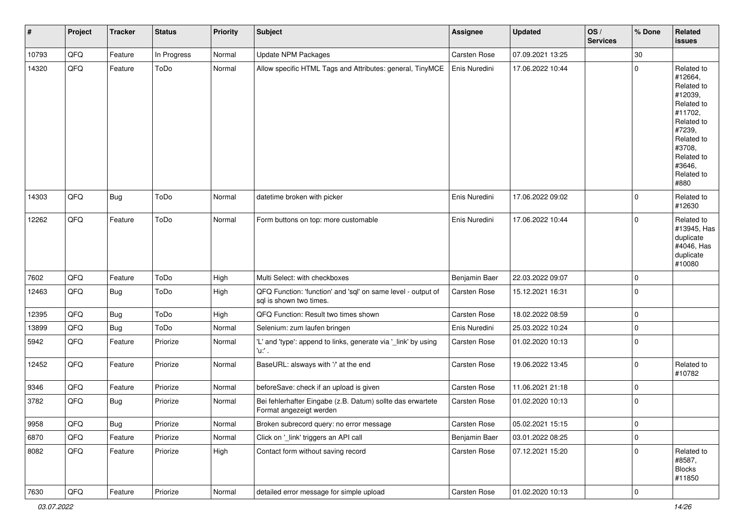| #     | Project        | <b>Tracker</b> | <b>Status</b> | <b>Priority</b> | Subject                                                                                 | <b>Assignee</b>     | <b>Updated</b>   | OS/<br><b>Services</b> | % Done      | Related<br><b>issues</b>                                                                                                                                              |
|-------|----------------|----------------|---------------|-----------------|-----------------------------------------------------------------------------------------|---------------------|------------------|------------------------|-------------|-----------------------------------------------------------------------------------------------------------------------------------------------------------------------|
| 10793 | QFQ            | Feature        | In Progress   | Normal          | <b>Update NPM Packages</b>                                                              | Carsten Rose        | 07.09.2021 13:25 |                        | 30          |                                                                                                                                                                       |
| 14320 | QFQ            | Feature        | ToDo          | Normal          | Allow specific HTML Tags and Attributes: general, TinyMCE                               | Enis Nuredini       | 17.06.2022 10:44 |                        | 0           | Related to<br>#12664,<br>Related to<br>#12039,<br>Related to<br>#11702,<br>Related to<br>#7239,<br>Related to<br>#3708,<br>Related to<br>#3646,<br>Related to<br>#880 |
| 14303 | QFQ            | <b>Bug</b>     | ToDo          | Normal          | datetime broken with picker                                                             | Enis Nuredini       | 17.06.2022 09:02 |                        | 0           | Related to<br>#12630                                                                                                                                                  |
| 12262 | QFQ            | Feature        | ToDo          | Normal          | Form buttons on top: more customable                                                    | Enis Nuredini       | 17.06.2022 10:44 |                        | 0           | Related to<br>#13945, Has<br>duplicate<br>#4046, Has<br>duplicate<br>#10080                                                                                           |
| 7602  | QFQ            | Feature        | ToDo          | High            | Multi Select: with checkboxes                                                           | Benjamin Baer       | 22.03.2022 09:07 |                        | $\mathbf 0$ |                                                                                                                                                                       |
| 12463 | QFQ            | Bug            | ToDo          | High            | QFQ Function: 'function' and 'sql' on same level - output of<br>sql is shown two times. | <b>Carsten Rose</b> | 15.12.2021 16:31 |                        | 0           |                                                                                                                                                                       |
| 12395 | QFQ            | <b>Bug</b>     | ToDo          | High            | QFQ Function: Result two times shown                                                    | Carsten Rose        | 18.02.2022 08:59 |                        | $\mathbf 0$ |                                                                                                                                                                       |
| 13899 | QFQ            | <b>Bug</b>     | ToDo          | Normal          | Selenium: zum laufen bringen                                                            | Enis Nuredini       | 25.03.2022 10:24 |                        | 0           |                                                                                                                                                                       |
| 5942  | QFQ            | Feature        | Priorize      | Normal          | 'L' and 'type': append to links, generate via '_link' by using<br>'u:' .                | <b>Carsten Rose</b> | 01.02.2020 10:13 |                        | 0           |                                                                                                                                                                       |
| 12452 | QFQ            | Feature        | Priorize      | Normal          | BaseURL: alsways with '/' at the end                                                    | Carsten Rose        | 19.06.2022 13:45 |                        | 0           | Related to<br>#10782                                                                                                                                                  |
| 9346  | QFQ            | Feature        | Priorize      | Normal          | beforeSave: check if an upload is given                                                 | <b>Carsten Rose</b> | 11.06.2021 21:18 |                        | 0           |                                                                                                                                                                       |
| 3782  | QFQ            | <b>Bug</b>     | Priorize      | Normal          | Bei fehlerhafter Eingabe (z.B. Datum) sollte das erwartete<br>Format angezeigt werden   | <b>Carsten Rose</b> | 01.02.2020 10:13 |                        | $\mathbf 0$ |                                                                                                                                                                       |
| 9958  | QFQ            | Bug            | Priorize      | Normal          | Broken subrecord query: no error message                                                | <b>Carsten Rose</b> | 05.02.2021 15:15 |                        | 0           |                                                                                                                                                                       |
| 6870  | QFQ            | Feature        | Priorize      | Normal          | Click on '_link' triggers an API call                                                   | Benjamin Baer       | 03.01.2022 08:25 |                        | $\mathbf 0$ |                                                                                                                                                                       |
| 8082  | QFQ            | Feature        | Priorize      | High            | Contact form without saving record                                                      | Carsten Rose        | 07.12.2021 15:20 |                        | $\mathbf 0$ | Related to<br>#8587,<br><b>Blocks</b><br>#11850                                                                                                                       |
| 7630  | $\mathsf{QFQ}$ | Feature        | Priorize      | Normal          | detailed error message for simple upload                                                | Carsten Rose        | 01.02.2020 10:13 |                        | $\mathbf 0$ |                                                                                                                                                                       |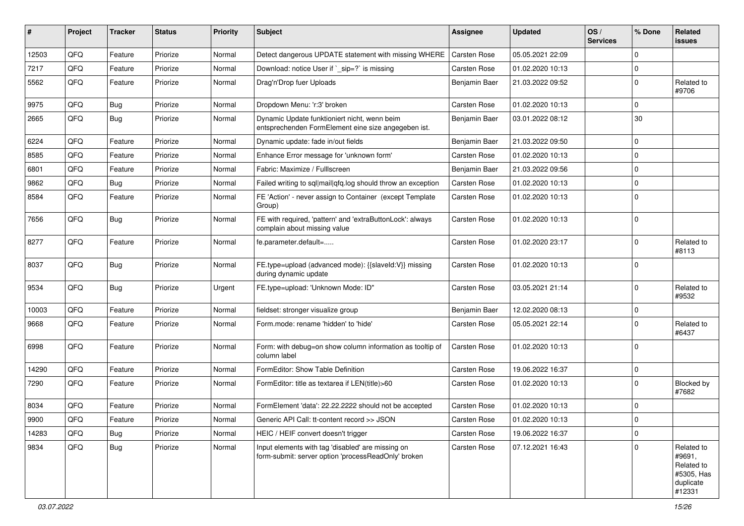| #     | Project | <b>Tracker</b> | <b>Status</b> | <b>Priority</b> | Subject                                                                                                  | Assignee            | <b>Updated</b>   | OS/<br><b>Services</b> | % Done         | Related<br>issues                                                       |
|-------|---------|----------------|---------------|-----------------|----------------------------------------------------------------------------------------------------------|---------------------|------------------|------------------------|----------------|-------------------------------------------------------------------------|
| 12503 | QFQ     | Feature        | Priorize      | Normal          | Detect dangerous UPDATE statement with missing WHERE                                                     | <b>Carsten Rose</b> | 05.05.2021 22:09 |                        | $\Omega$       |                                                                         |
| 7217  | QFQ     | Feature        | Priorize      | Normal          | Download: notice User if `_sip=?` is missing                                                             | <b>Carsten Rose</b> | 01.02.2020 10:13 |                        | $\Omega$       |                                                                         |
| 5562  | QFQ     | Feature        | Priorize      | Normal          | Drag'n'Drop fuer Uploads                                                                                 | Benjamin Baer       | 21.03.2022 09:52 |                        | $\Omega$       | Related to<br>#9706                                                     |
| 9975  | QFQ     | <b>Bug</b>     | Priorize      | Normal          | Dropdown Menu: 'r:3' broken                                                                              | <b>Carsten Rose</b> | 01.02.2020 10:13 |                        | $\Omega$       |                                                                         |
| 2665  | QFQ     | Bug            | Priorize      | Normal          | Dynamic Update funktioniert nicht, wenn beim<br>entsprechenden FormElement eine size angegeben ist.      | Benjamin Baer       | 03.01.2022 08:12 |                        | 30             |                                                                         |
| 6224  | QFQ     | Feature        | Priorize      | Normal          | Dynamic update: fade in/out fields                                                                       | Benjamin Baer       | 21.03.2022 09:50 |                        | $\Omega$       |                                                                         |
| 8585  | QFQ     | Feature        | Priorize      | Normal          | Enhance Error message for 'unknown form'                                                                 | <b>Carsten Rose</b> | 01.02.2020 10:13 |                        | $\Omega$       |                                                                         |
| 6801  | QFQ     | Feature        | Priorize      | Normal          | Fabric: Maximize / FullIscreen                                                                           | Benjamin Baer       | 21.03.2022 09:56 |                        | $\Omega$       |                                                                         |
| 9862  | QFQ     | Bug            | Priorize      | Normal          | Failed writing to sql mail qfq.log should throw an exception                                             | <b>Carsten Rose</b> | 01.02.2020 10:13 |                        | $\mathbf 0$    |                                                                         |
| 8584  | QFQ     | Feature        | Priorize      | Normal          | FE 'Action' - never assign to Container (except Template<br>Group)                                       | <b>Carsten Rose</b> | 01.02.2020 10:13 |                        | $\Omega$       |                                                                         |
| 7656  | QFQ     | Bug            | Priorize      | Normal          | FE with required, 'pattern' and 'extraButtonLock': always<br>complain about missing value                | <b>Carsten Rose</b> | 01.02.2020 10:13 |                        | $\Omega$       |                                                                         |
| 8277  | QFQ     | Feature        | Priorize      | Normal          | fe.parameter.default=                                                                                    | <b>Carsten Rose</b> | 01.02.2020 23:17 |                        | $\Omega$       | Related to<br>#8113                                                     |
| 8037  | QFQ     | Bug            | Priorize      | Normal          | FE.type=upload (advanced mode): {{slaveId:V}} missing<br>during dynamic update                           | Carsten Rose        | 01.02.2020 10:13 |                        | $\Omega$       |                                                                         |
| 9534  | QFQ     | Bug            | Priorize      | Urgent          | FE.type=upload: 'Unknown Mode: ID"                                                                       | <b>Carsten Rose</b> | 03.05.2021 21:14 |                        | $\mathbf 0$    | Related to<br>#9532                                                     |
| 10003 | QFQ     | Feature        | Priorize      | Normal          | fieldset: stronger visualize group                                                                       | Benjamin Baer       | 12.02.2020 08:13 |                        | $\mathbf 0$    |                                                                         |
| 9668  | QFQ     | Feature        | Priorize      | Normal          | Form.mode: rename 'hidden' to 'hide'                                                                     | <b>Carsten Rose</b> | 05.05.2021 22:14 |                        | $\Omega$       | Related to<br>#6437                                                     |
| 6998  | QFQ     | Feature        | Priorize      | Normal          | Form: with debug=on show column information as tooltip of<br>column label                                | <b>Carsten Rose</b> | 01.02.2020 10:13 |                        | $\Omega$       |                                                                         |
| 14290 | QFQ     | Feature        | Priorize      | Normal          | FormEditor: Show Table Definition                                                                        | <b>Carsten Rose</b> | 19.06.2022 16:37 |                        | $\mathbf 0$    |                                                                         |
| 7290  | QFQ     | Feature        | Priorize      | Normal          | FormEditor: title as textarea if LEN(title)>60                                                           | <b>Carsten Rose</b> | 01.02.2020 10:13 |                        | $\Omega$       | Blocked by<br>#7682                                                     |
| 8034  | QFQ     | Feature        | Priorize      | Normal          | FormElement 'data': 22.22.2222 should not be accepted                                                    | <b>Carsten Rose</b> | 01.02.2020 10:13 |                        | $\mathbf 0$    |                                                                         |
| 9900  | QFQ     | Feature        | Priorize      | Normal          | Generic API Call: tt-content record >> JSON                                                              | Carsten Rose        | 01.02.2020 10:13 |                        | $\mathbf{0}$   |                                                                         |
| 14283 | QFQ     | <b>Bug</b>     | Priorize      | Normal          | HEIC / HEIF convert doesn't trigger                                                                      | Carsten Rose        | 19.06.2022 16:37 |                        | $\overline{0}$ |                                                                         |
| 9834  | QFQ     | <b>Bug</b>     | Priorize      | Normal          | Input elements with tag 'disabled' are missing on<br>form-submit: server option 'processReadOnly' broken | Carsten Rose        | 07.12.2021 16:43 |                        | $\overline{0}$ | Related to<br>#9691,<br>Related to<br>#5305, Has<br>duplicate<br>#12331 |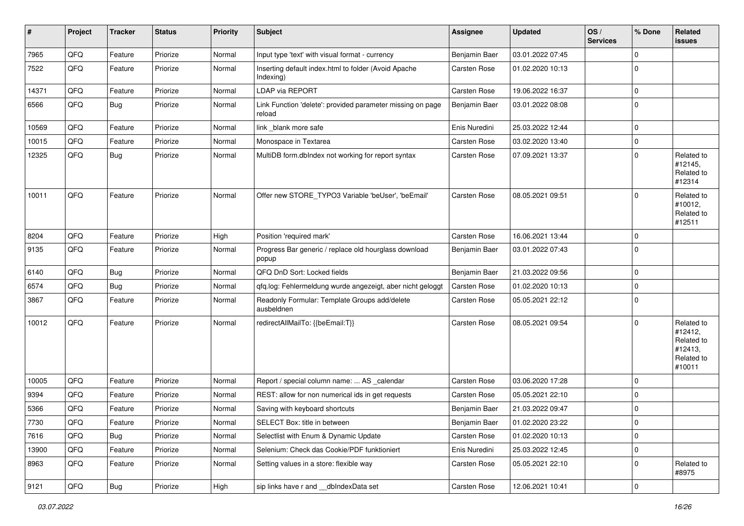| #     | Project | <b>Tracker</b> | <b>Status</b> | <b>Priority</b> | <b>Subject</b>                                                       | <b>Assignee</b> | <b>Updated</b>   | OS/<br><b>Services</b> | % Done       | Related<br>issues                                                      |
|-------|---------|----------------|---------------|-----------------|----------------------------------------------------------------------|-----------------|------------------|------------------------|--------------|------------------------------------------------------------------------|
| 7965  | QFQ     | Feature        | Priorize      | Normal          | Input type 'text' with visual format - currency                      | Benjamin Baer   | 03.01.2022 07:45 |                        | $\mathbf{0}$ |                                                                        |
| 7522  | QFQ     | Feature        | Priorize      | Normal          | Inserting default index.html to folder (Avoid Apache<br>Indexing)    | Carsten Rose    | 01.02.2020 10:13 |                        | $\mathbf 0$  |                                                                        |
| 14371 | QFQ     | Feature        | Priorize      | Normal          | LDAP via REPORT                                                      | Carsten Rose    | 19.06.2022 16:37 |                        | $\mathsf{O}$ |                                                                        |
| 6566  | QFQ     | <b>Bug</b>     | Priorize      | Normal          | Link Function 'delete': provided parameter missing on page<br>reload | Benjamin Baer   | 03.01.2022 08:08 |                        | 0            |                                                                        |
| 10569 | QFQ     | Feature        | Priorize      | Normal          | link _blank more safe                                                | Enis Nuredini   | 25.03.2022 12:44 |                        | 0            |                                                                        |
| 10015 | QFQ     | Feature        | Priorize      | Normal          | Monospace in Textarea                                                | Carsten Rose    | 03.02.2020 13:40 |                        | 0            |                                                                        |
| 12325 | QFQ     | <b>Bug</b>     | Priorize      | Normal          | MultiDB form.dblndex not working for report syntax                   | Carsten Rose    | 07.09.2021 13:37 |                        | $\mathbf 0$  | Related to<br>#12145,<br>Related to<br>#12314                          |
| 10011 | QFQ     | Feature        | Priorize      | Normal          | Offer new STORE_TYPO3 Variable 'beUser', 'beEmail'                   | Carsten Rose    | 08.05.2021 09:51 |                        | $\mathbf 0$  | Related to<br>#10012,<br>Related to<br>#12511                          |
| 8204  | QFQ     | Feature        | Priorize      | High            | Position 'required mark'                                             | Carsten Rose    | 16.06.2021 13:44 |                        | 0            |                                                                        |
| 9135  | QFQ     | Feature        | Priorize      | Normal          | Progress Bar generic / replace old hourglass download<br>popup       | Benjamin Baer   | 03.01.2022 07:43 |                        | $\mathbf 0$  |                                                                        |
| 6140  | QFQ     | Bug            | Priorize      | Normal          | QFQ DnD Sort: Locked fields                                          | Benjamin Baer   | 21.03.2022 09:56 |                        | $\mathsf 0$  |                                                                        |
| 6574  | QFQ     | Bug            | Priorize      | Normal          | qfq.log: Fehlermeldung wurde angezeigt, aber nicht geloggt           | Carsten Rose    | 01.02.2020 10:13 |                        | $\mathsf{O}$ |                                                                        |
| 3867  | QFQ     | Feature        | Priorize      | Normal          | Readonly Formular: Template Groups add/delete<br>ausbeldnen          | Carsten Rose    | 05.05.2021 22:12 |                        | $\mathbf 0$  |                                                                        |
| 10012 | QFQ     | Feature        | Priorize      | Normal          | redirectAllMailTo: {{beEmail:T}}                                     | Carsten Rose    | 08.05.2021 09:54 |                        | $\mathbf 0$  | Related to<br>#12412,<br>Related to<br>#12413,<br>Related to<br>#10011 |
| 10005 | QFQ     | Feature        | Priorize      | Normal          | Report / special column name:  AS _calendar                          | Carsten Rose    | 03.06.2020 17:28 |                        | $\mathbf 0$  |                                                                        |
| 9394  | QFQ     | Feature        | Priorize      | Normal          | REST: allow for non numerical ids in get requests                    | Carsten Rose    | 05.05.2021 22:10 |                        | 0            |                                                                        |
| 5366  | QFQ     | Feature        | Priorize      | Normal          | Saving with keyboard shortcuts                                       | Benjamin Baer   | 21.03.2022 09:47 |                        | 0            |                                                                        |
| 7730  | QFQ     | Feature        | Priorize      | Normal          | SELECT Box: title in between                                         | Benjamin Baer   | 01.02.2020 23:22 |                        | $\mathsf{U}$ |                                                                        |
| 7616  | QFQ     | <b>Bug</b>     | Priorize      | Normal          | Selectlist with Enum & Dynamic Update                                | Carsten Rose    | 01.02.2020 10:13 |                        | $\mathsf{O}$ |                                                                        |
| 13900 | QFQ     | Feature        | Priorize      | Normal          | Selenium: Check das Cookie/PDF funktioniert                          | Enis Nuredini   | 25.03.2022 12:45 |                        | 0            |                                                                        |
| 8963  | QFQ     | Feature        | Priorize      | Normal          | Setting values in a store: flexible way                              | Carsten Rose    | 05.05.2021 22:10 |                        | 0            | Related to<br>#8975                                                    |
| 9121  | QFQ     | Bug            | Priorize      | High            | sip links have r and dblndexData set                                 | Carsten Rose    | 12.06.2021 10:41 |                        | $\mathbf 0$  |                                                                        |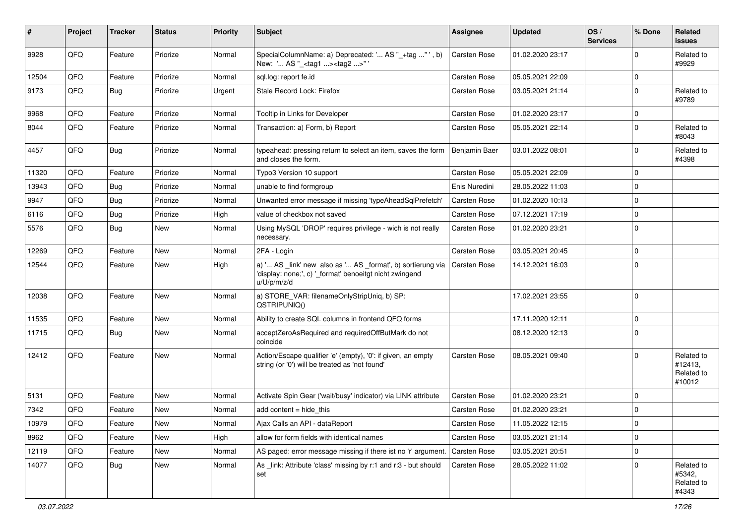| ∦     | Project | <b>Tracker</b> | <b>Status</b> | <b>Priority</b> | Subject                                                                                                                               | <b>Assignee</b>     | <b>Updated</b>   | OS/<br><b>Services</b> | % Done      | Related<br><b>issues</b>                      |
|-------|---------|----------------|---------------|-----------------|---------------------------------------------------------------------------------------------------------------------------------------|---------------------|------------------|------------------------|-------------|-----------------------------------------------|
| 9928  | QFQ     | Feature        | Priorize      | Normal          | SpecialColumnName: a) Deprecated: ' AS "_+tag " ', b)<br>New: ' AS "_ <tag1><tag2>"'</tag2></tag1>                                    | <b>Carsten Rose</b> | 01.02.2020 23:17 |                        | 0           | Related to<br>#9929                           |
| 12504 | QFQ     | Feature        | Priorize      | Normal          | sql.log: report fe.id                                                                                                                 | <b>Carsten Rose</b> | 05.05.2021 22:09 |                        | $\mathbf 0$ |                                               |
| 9173  | QFQ     | Bug            | Priorize      | Urgent          | Stale Record Lock: Firefox                                                                                                            | <b>Carsten Rose</b> | 03.05.2021 21:14 |                        | $\Omega$    | Related to<br>#9789                           |
| 9968  | QFQ     | Feature        | Priorize      | Normal          | Tooltip in Links for Developer                                                                                                        | Carsten Rose        | 01.02.2020 23:17 |                        | $\Omega$    |                                               |
| 8044  | QFQ     | Feature        | Priorize      | Normal          | Transaction: a) Form, b) Report                                                                                                       | <b>Carsten Rose</b> | 05.05.2021 22:14 |                        | 0           | Related to<br>#8043                           |
| 4457  | QFQ     | Bug            | Priorize      | Normal          | typeahead: pressing return to select an item, saves the form<br>and closes the form.                                                  | Benjamin Baer       | 03.01.2022 08:01 |                        | 0           | Related to<br>#4398                           |
| 11320 | QFQ     | Feature        | Priorize      | Normal          | Typo3 Version 10 support                                                                                                              | <b>Carsten Rose</b> | 05.05.2021 22:09 |                        | 0           |                                               |
| 13943 | QFQ     | Bug            | Priorize      | Normal          | unable to find formgroup                                                                                                              | Enis Nuredini       | 28.05.2022 11:03 |                        | 0           |                                               |
| 9947  | QFQ     | Bug            | Priorize      | Normal          | Unwanted error message if missing 'typeAheadSqlPrefetch'                                                                              | Carsten Rose        | 01.02.2020 10:13 |                        | $\Omega$    |                                               |
| 6116  | QFQ     | Bug            | Priorize      | High            | value of checkbox not saved                                                                                                           | <b>Carsten Rose</b> | 07.12.2021 17:19 |                        | $\mathbf 0$ |                                               |
| 5576  | QFQ     | <b>Bug</b>     | <b>New</b>    | Normal          | Using MySQL 'DROP' requires privilege - wich is not really<br>necessary.                                                              | <b>Carsten Rose</b> | 01.02.2020 23:21 |                        | $\Omega$    |                                               |
| 12269 | QFQ     | Feature        | <b>New</b>    | Normal          | 2FA - Login                                                                                                                           | <b>Carsten Rose</b> | 03.05.2021 20:45 |                        | $\mathbf 0$ |                                               |
| 12544 | QFQ     | Feature        | New           | High            | a) ' AS _link' new also as ' AS _format', b) sortierung via<br>'display: none;', c) '_format' benoeitgt nicht zwingend<br>u/U/p/m/z/d | <b>Carsten Rose</b> | 14.12.2021 16:03 |                        | $\mathbf 0$ |                                               |
| 12038 | QFQ     | Feature        | <b>New</b>    | Normal          | a) STORE_VAR: filenameOnlyStripUniq, b) SP:<br>QSTRIPUNIQ()                                                                           |                     | 17.02.2021 23:55 |                        | $\mathbf 0$ |                                               |
| 11535 | QFQ     | Feature        | <b>New</b>    | Normal          | Ability to create SQL columns in frontend QFQ forms                                                                                   |                     | 17.11.2020 12:11 |                        | 0           |                                               |
| 11715 | QFQ     | Bug            | New           | Normal          | acceptZeroAsRequired and requiredOffButMark do not<br>coincide                                                                        |                     | 08.12.2020 12:13 |                        | 0           |                                               |
| 12412 | QFQ     | Feature        | <b>New</b>    | Normal          | Action/Escape qualifier 'e' (empty), '0': if given, an empty<br>string (or '0') will be treated as 'not found'                        | <b>Carsten Rose</b> | 08.05.2021 09:40 |                        | 0           | Related to<br>#12413,<br>Related to<br>#10012 |
| 5131  | QFQ     | Feature        | <b>New</b>    | Normal          | Activate Spin Gear ('wait/busy' indicator) via LINK attribute                                                                         | <b>Carsten Rose</b> | 01.02.2020 23:21 |                        | 0           |                                               |
| 7342  | QFQ     | Feature        | <b>New</b>    | Normal          | add content $=$ hide this                                                                                                             | <b>Carsten Rose</b> | 01.02.2020 23:21 |                        | $\Omega$    |                                               |
| 10979 | QFQ     | Feature        | New           | Normal          | Ajax Calls an API - dataReport                                                                                                        | Carsten Rose        | 11.05.2022 12:15 |                        | $\mathbf 0$ |                                               |
| 8962  | QFQ     | Feature        | New           | High            | allow for form fields with identical names                                                                                            | Carsten Rose        | 03.05.2021 21:14 |                        | $\mathbf 0$ |                                               |
| 12119 | QFQ     | Feature        | New           | Normal          | AS paged: error message missing if there ist no 'r' argument                                                                          | <b>Carsten Rose</b> | 03.05.2021 20:51 |                        | $\mathbf 0$ |                                               |
| 14077 | QFQ     | <b>Bug</b>     | New           | Normal          | As link: Attribute 'class' missing by r:1 and r:3 - but should<br>set                                                                 | <b>Carsten Rose</b> | 28.05.2022 11:02 |                        | 0           | Related to<br>#5342,<br>Related to<br>#4343   |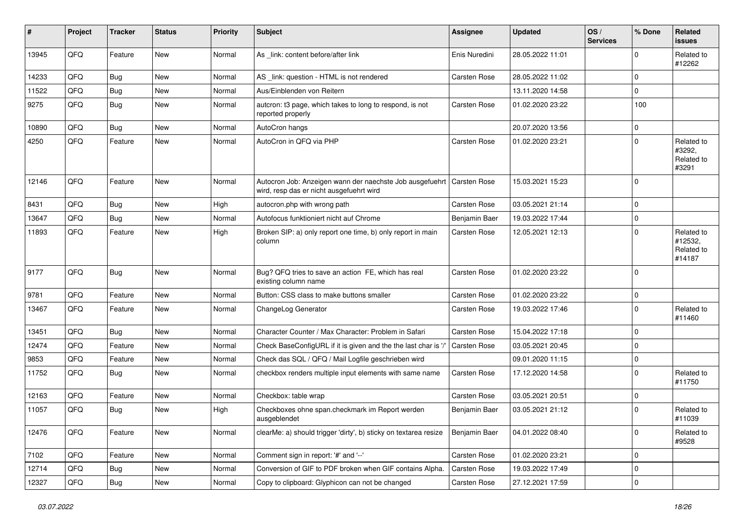| #     | Project | <b>Tracker</b> | <b>Status</b> | <b>Priority</b> | Subject                                                                                              | <b>Assignee</b>     | <b>Updated</b>   | OS/<br><b>Services</b> | % Done       | Related<br>issues                             |
|-------|---------|----------------|---------------|-----------------|------------------------------------------------------------------------------------------------------|---------------------|------------------|------------------------|--------------|-----------------------------------------------|
| 13945 | QFQ     | Feature        | New           | Normal          | As _link: content before/after link                                                                  | Enis Nuredini       | 28.05.2022 11:01 |                        | <sup>0</sup> | Related to<br>#12262                          |
| 14233 | QFQ     | Bug            | <b>New</b>    | Normal          | AS _link: question - HTML is not rendered                                                            | <b>Carsten Rose</b> | 28.05.2022 11:02 |                        | $\mathbf 0$  |                                               |
| 11522 | QFQ     | <b>Bug</b>     | New           | Normal          | Aus/Einblenden von Reitern                                                                           |                     | 13.11.2020 14:58 |                        | 0            |                                               |
| 9275  | QFQ     | <b>Bug</b>     | New           | Normal          | autcron: t3 page, which takes to long to respond, is not<br>reported properly                        | <b>Carsten Rose</b> | 01.02.2020 23:22 |                        | 100          |                                               |
| 10890 | QFQ     | Bug            | <b>New</b>    | Normal          | AutoCron hangs                                                                                       |                     | 20.07.2020 13:56 |                        | $\mathbf 0$  |                                               |
| 4250  | QFQ     | Feature        | <b>New</b>    | Normal          | AutoCron in QFQ via PHP                                                                              | <b>Carsten Rose</b> | 01.02.2020 23:21 |                        | $\Omega$     | Related to<br>#3292,<br>Related to<br>#3291   |
| 12146 | QFQ     | Feature        | New           | Normal          | Autocron Job: Anzeigen wann der naechste Job ausgefuehrt<br>wird, resp das er nicht ausgefuehrt wird | <b>Carsten Rose</b> | 15.03.2021 15:23 |                        | $\Omega$     |                                               |
| 8431  | QFQ     | Bug            | <b>New</b>    | High            | autocron.php with wrong path                                                                         | <b>Carsten Rose</b> | 03.05.2021 21:14 |                        | $\mathbf 0$  |                                               |
| 13647 | QFQ     | <b>Bug</b>     | New           | Normal          | Autofocus funktioniert nicht auf Chrome                                                              | Benjamin Baer       | 19.03.2022 17:44 |                        | $\mathbf 0$  |                                               |
| 11893 | QFQ     | Feature        | New           | High            | Broken SIP: a) only report one time, b) only report in main<br>column                                | <b>Carsten Rose</b> | 12.05.2021 12:13 |                        | 0            | Related to<br>#12532,<br>Related to<br>#14187 |
| 9177  | QFQ     | <b>Bug</b>     | <b>New</b>    | Normal          | Bug? QFQ tries to save an action FE, which has real<br>existing column name                          | <b>Carsten Rose</b> | 01.02.2020 23:22 |                        | $\Omega$     |                                               |
| 9781  | QFQ     | Feature        | <b>New</b>    | Normal          | Button: CSS class to make buttons smaller                                                            | <b>Carsten Rose</b> | 01.02.2020 23:22 |                        | 0            |                                               |
| 13467 | QFQ     | Feature        | <b>New</b>    | Normal          | ChangeLog Generator                                                                                  | <b>Carsten Rose</b> | 19.03.2022 17:46 |                        | 0            | Related to<br>#11460                          |
| 13451 | QFQ     | Bug            | <b>New</b>    | Normal          | Character Counter / Max Character: Problem in Safari                                                 | <b>Carsten Rose</b> | 15.04.2022 17:18 |                        | $\mathbf 0$  |                                               |
| 12474 | QFQ     | Feature        | New           | Normal          | Check BaseConfigURL if it is given and the the last char is '/                                       | Carsten Rose        | 03.05.2021 20:45 |                        | $\mathbf 0$  |                                               |
| 9853  | QFQ     | Feature        | New           | Normal          | Check das SQL / QFQ / Mail Logfile geschrieben wird                                                  |                     | 09.01.2020 11:15 |                        | 0            |                                               |
| 11752 | QFQ     | Bug            | <b>New</b>    | Normal          | checkbox renders multiple input elements with same name                                              | <b>Carsten Rose</b> | 17.12.2020 14:58 |                        | 0            | Related to<br>#11750                          |
| 12163 | QFQ     | Feature        | <b>New</b>    | Normal          | Checkbox: table wrap                                                                                 | <b>Carsten Rose</b> | 03.05.2021 20:51 |                        | $\mathbf 0$  |                                               |
| 11057 | QFQ     | Bug            | <b>New</b>    | High            | Checkboxes ohne span.checkmark im Report werden<br>ausgeblendet                                      | Benjamin Baer       | 03.05.2021 21:12 |                        | <sup>0</sup> | Related to<br>#11039                          |
| 12476 | QFQ     | Feature        | New           | Normal          | clearMe: a) should trigger 'dirty', b) sticky on textarea resize                                     | Benjamin Baer       | 04.01.2022 08:40 |                        | 0            | Related to<br>#9528                           |
| 7102  | QFQ     | Feature        | New           | Normal          | Comment sign in report: '#' and '--'                                                                 | Carsten Rose        | 01.02.2020 23:21 |                        | 0            |                                               |
| 12714 | QFQ     | <b>Bug</b>     | New           | Normal          | Conversion of GIF to PDF broken when GIF contains Alpha.                                             | <b>Carsten Rose</b> | 19.03.2022 17:49 |                        | 0            |                                               |
| 12327 | QFQ     | <b>Bug</b>     | New           | Normal          | Copy to clipboard: Glyphicon can not be changed                                                      | Carsten Rose        | 27.12.2021 17:59 |                        | 0            |                                               |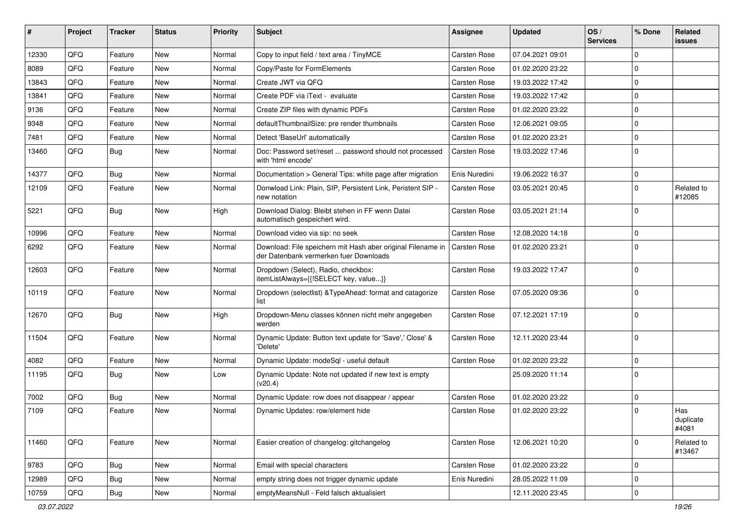| ∦     | Project | <b>Tracker</b> | <b>Status</b> | <b>Priority</b> | Subject                                                                                               | Assignee            | <b>Updated</b>   | OS/<br><b>Services</b> | % Done       | Related<br>issues         |
|-------|---------|----------------|---------------|-----------------|-------------------------------------------------------------------------------------------------------|---------------------|------------------|------------------------|--------------|---------------------------|
| 12330 | QFQ     | Feature        | <b>New</b>    | Normal          | Copy to input field / text area / TinyMCE                                                             | <b>Carsten Rose</b> | 07.04.2021 09:01 |                        | $\mathbf 0$  |                           |
| 8089  | QFQ     | Feature        | <b>New</b>    | Normal          | Copy/Paste for FormElements                                                                           | <b>Carsten Rose</b> | 01.02.2020 23:22 |                        | 0            |                           |
| 13843 | QFQ     | Feature        | <b>New</b>    | Normal          | Create JWT via QFQ                                                                                    | <b>Carsten Rose</b> | 19.03.2022 17:42 |                        | $\mathbf 0$  |                           |
| 13841 | QFQ     | Feature        | <b>New</b>    | Normal          | Create PDF via iText - evaluate                                                                       | <b>Carsten Rose</b> | 19.03.2022 17:42 |                        | 0            |                           |
| 9136  | QFQ     | Feature        | <b>New</b>    | Normal          | Create ZIP files with dynamic PDFs                                                                    | Carsten Rose        | 01.02.2020 23:22 |                        | $\mathbf 0$  |                           |
| 9348  | QFQ     | Feature        | <b>New</b>    | Normal          | defaultThumbnailSize: pre render thumbnails                                                           | Carsten Rose        | 12.06.2021 09:05 |                        | $\mathbf 0$  |                           |
| 7481  | QFQ     | Feature        | New           | Normal          | Detect 'BaseUrl' automatically                                                                        | <b>Carsten Rose</b> | 01.02.2020 23:21 |                        | $\mathbf 0$  |                           |
| 13460 | QFQ     | Bug            | <b>New</b>    | Normal          | Doc: Password set/reset  password should not processed<br>with 'html encode'                          | Carsten Rose        | 19.03.2022 17:46 |                        | $\mathbf 0$  |                           |
| 14377 | QFQ     | Bug            | New           | Normal          | Documentation > General Tips: white page after migration                                              | Enis Nuredini       | 19.06.2022 16:37 |                        | 0            |                           |
| 12109 | QFQ     | Feature        | <b>New</b>    | Normal          | Donwload Link: Plain, SIP, Persistent Link, Peristent SIP -<br>new notation                           | <b>Carsten Rose</b> | 03.05.2021 20:45 |                        | $\mathbf 0$  | Related to<br>#12085      |
| 5221  | QFQ     | Bug            | New           | High            | Download Dialog: Bleibt stehen in FF wenn Datei<br>automatisch gespeichert wird.                      | <b>Carsten Rose</b> | 03.05.2021 21:14 |                        | $\mathbf 0$  |                           |
| 10996 | QFQ     | Feature        | <b>New</b>    | Normal          | Download video via sip: no seek                                                                       | <b>Carsten Rose</b> | 12.08.2020 14:18 |                        | $\mathbf 0$  |                           |
| 6292  | QFQ     | Feature        | <b>New</b>    | Normal          | Download: File speichern mit Hash aber original Filename in<br>der Datenbank vermerken fuer Downloads | <b>Carsten Rose</b> | 01.02.2020 23:21 |                        | $\mathbf 0$  |                           |
| 12603 | QFQ     | Feature        | New           | Normal          | Dropdown (Select), Radio, checkbox:<br>itemListAlways={{!SELECT key, value}}                          | Carsten Rose        | 19.03.2022 17:47 |                        | $\mathbf 0$  |                           |
| 10119 | QFQ     | Feature        | <b>New</b>    | Normal          | Dropdown (selectlist) & TypeAhead: format and catagorize<br>list                                      | <b>Carsten Rose</b> | 07.05.2020 09:36 |                        | $\mathbf 0$  |                           |
| 12670 | QFQ     | Bug            | <b>New</b>    | High            | Dropdown-Menu classes können nicht mehr angegeben<br>werden                                           | Carsten Rose        | 07.12.2021 17:19 |                        | $\mathbf 0$  |                           |
| 11504 | QFQ     | Feature        | <b>New</b>    | Normal          | Dynamic Update: Button text update for 'Save',' Close' &<br>'Delete'                                  | Carsten Rose        | 12.11.2020 23:44 |                        | $\mathbf 0$  |                           |
| 4082  | QFQ     | Feature        | New           | Normal          | Dynamic Update: modeSql - useful default                                                              | <b>Carsten Rose</b> | 01.02.2020 23:22 |                        | $\mathbf 0$  |                           |
| 11195 | QFQ     | Bug            | New           | Low             | Dynamic Update: Note not updated if new text is empty<br>(v20.4)                                      |                     | 25.09.2020 11:14 |                        | $\mathbf{0}$ |                           |
| 7002  | QFQ     | Bug            | <b>New</b>    | Normal          | Dynamic Update: row does not disappear / appear                                                       | <b>Carsten Rose</b> | 01.02.2020 23:22 |                        | 0            |                           |
| 7109  | QFQ     | Feature        | <b>New</b>    | Normal          | Dynamic Updates: row/element hide                                                                     | <b>Carsten Rose</b> | 01.02.2020 23:22 |                        | $\mathbf 0$  | Has<br>duplicate<br>#4081 |
| 11460 | QFQ     | Feature        | New           | Normal          | Easier creation of changelog: gitchangelog                                                            | Carsten Rose        | 12.06.2021 10:20 |                        | $\mathsf{O}$ | Related to<br>#13467      |
| 9783  | QFQ     | <b>Bug</b>     | New           | Normal          | Email with special characters                                                                         | Carsten Rose        | 01.02.2020 23:22 |                        | $\mathbf 0$  |                           |
| 12989 | QFQ     | Bug            | New           | Normal          | empty string does not trigger dynamic update                                                          | Enis Nuredini       | 28.05.2022 11:09 |                        | 0            |                           |
| 10759 | QFQ     | <b>Bug</b>     | New           | Normal          | emptyMeansNull - Feld falsch aktualisiert                                                             |                     | 12.11.2020 23:45 |                        | $\pmb{0}$    |                           |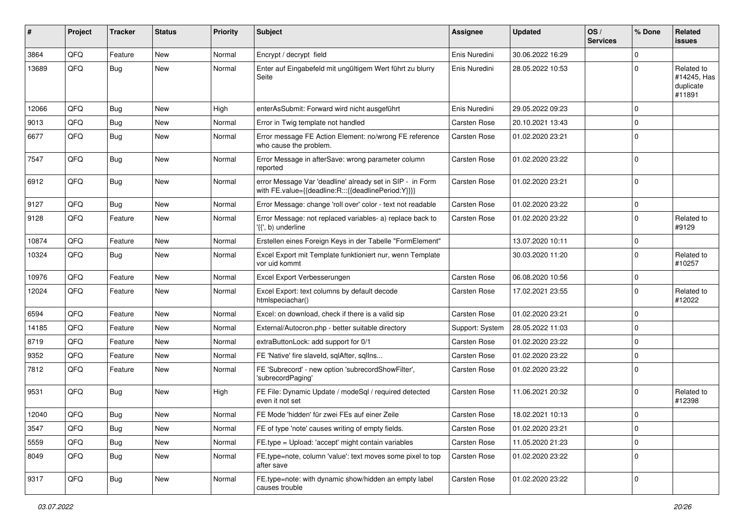| ∦     | Project | <b>Tracker</b> | <b>Status</b> | <b>Priority</b> | <b>Subject</b>                                                                                                   | <b>Assignee</b>     | <b>Updated</b>   | OS/<br><b>Services</b> | % Done       | Related<br>issues                                |
|-------|---------|----------------|---------------|-----------------|------------------------------------------------------------------------------------------------------------------|---------------------|------------------|------------------------|--------------|--------------------------------------------------|
| 3864  | QFQ     | Feature        | <b>New</b>    | Normal          | Encrypt / decrypt field                                                                                          | Enis Nuredini       | 30.06.2022 16:29 |                        | $\mathbf{0}$ |                                                  |
| 13689 | QFQ     | Bug            | <b>New</b>    | Normal          | Enter auf Eingabefeld mit ungültigem Wert führt zu blurry<br>Seite                                               | Enis Nuredini       | 28.05.2022 10:53 |                        | $\mathbf 0$  | Related to<br>#14245, Has<br>duplicate<br>#11891 |
| 12066 | QFQ     | Bug            | <b>New</b>    | High            | enterAsSubmit: Forward wird nicht ausgeführt                                                                     | Enis Nuredini       | 29.05.2022 09:23 |                        | 0            |                                                  |
| 9013  | QFQ     | Bug            | New           | Normal          | Error in Twig template not handled                                                                               | <b>Carsten Rose</b> | 20.10.2021 13:43 |                        | $\mathbf 0$  |                                                  |
| 6677  | QFQ     | Bug            | <b>New</b>    | Normal          | Error message FE Action Element: no/wrong FE reference<br>who cause the problem.                                 | <b>Carsten Rose</b> | 01.02.2020 23:21 |                        | $\mathbf 0$  |                                                  |
| 7547  | QFQ     | Bug            | New           | Normal          | Error Message in afterSave: wrong parameter column<br>reported                                                   | <b>Carsten Rose</b> | 01.02.2020 23:22 |                        | $\mathbf 0$  |                                                  |
| 6912  | QFQ     | <b>Bug</b>     | <b>New</b>    | Normal          | error Message Var 'deadline' already set in SIP - in Form<br>with FE.value={{deadline:R:::{{deadlinePeriod:Y}}}} | Carsten Rose        | 01.02.2020 23:21 |                        | $\mathbf 0$  |                                                  |
| 9127  | QFQ     | Bug            | <b>New</b>    | Normal          | Error Message: change 'roll over' color - text not readable                                                      | <b>Carsten Rose</b> | 01.02.2020 23:22 |                        | 0            |                                                  |
| 9128  | QFQ     | Feature        | New           | Normal          | Error Message: not replaced variables- a) replace back to<br>$\langle \{ \}$ , b) underline                      | Carsten Rose        | 01.02.2020 23:22 |                        | $\mathbf 0$  | Related to<br>#9129                              |
| 10874 | QFQ     | Feature        | <b>New</b>    | Normal          | Erstellen eines Foreign Keys in der Tabelle "FormElement"                                                        |                     | 13.07.2020 10:11 |                        | $\mathbf{0}$ |                                                  |
| 10324 | QFQ     | Bug            | New           | Normal          | Excel Export mit Template funktioniert nur, wenn Template<br>vor uid kommt                                       |                     | 30.03.2020 11:20 |                        | $\mathbf 0$  | Related to<br>#10257                             |
| 10976 | QFQ     | Feature        | <b>New</b>    | Normal          | Excel Export Verbesserungen                                                                                      | <b>Carsten Rose</b> | 06.08.2020 10:56 |                        | 0            |                                                  |
| 12024 | QFQ     | Feature        | <b>New</b>    | Normal          | Excel Export: text columns by default decode<br>htmlspeciachar()                                                 | Carsten Rose        | 17.02.2021 23:55 |                        | $\mathbf 0$  | Related to<br>#12022                             |
| 6594  | QFQ     | Feature        | New           | Normal          | Excel: on download, check if there is a valid sip                                                                | <b>Carsten Rose</b> | 01.02.2020 23:21 |                        | 0            |                                                  |
| 14185 | QFQ     | Feature        | <b>New</b>    | Normal          | External/Autocron.php - better suitable directory                                                                | Support: System     | 28.05.2022 11:03 |                        | $\mathbf 0$  |                                                  |
| 8719  | QFQ     | Feature        | <b>New</b>    | Normal          | extraButtonLock: add support for 0/1                                                                             | <b>Carsten Rose</b> | 01.02.2020 23:22 |                        | 0            |                                                  |
| 9352  | QFQ     | Feature        | <b>New</b>    | Normal          | FE 'Native' fire slaveld, sqlAfter, sqlIns                                                                       | <b>Carsten Rose</b> | 01.02.2020 23:22 |                        | $\mathbf 0$  |                                                  |
| 7812  | QFQ     | Feature        | <b>New</b>    | Normal          | FE 'Subrecord' - new option 'subrecordShowFilter',<br>'subrecordPaging'                                          | Carsten Rose        | 01.02.2020 23:22 |                        | $\mathbf 0$  |                                                  |
| 9531  | QFQ     | Bug            | New           | High            | FE File: Dynamic Update / modeSql / required detected<br>even it not set                                         | <b>Carsten Rose</b> | 11.06.2021 20:32 |                        | $\mathbf 0$  | Related to<br>#12398                             |
| 12040 | QFQ     | Bug            | <b>New</b>    | Normal          | FE Mode 'hidden' für zwei FEs auf einer Zeile                                                                    | <b>Carsten Rose</b> | 18.02.2021 10:13 |                        | 0            |                                                  |
| 3547  | QFQ     | <b>Bug</b>     | New           | Normal          | FE of type 'note' causes writing of empty fields.                                                                | Carsten Rose        | 01.02.2020 23:21 |                        | 0            |                                                  |
| 5559  | QFQ     | Bug            | New           | Normal          | FE.type = Upload: 'accept' might contain variables                                                               | Carsten Rose        | 11.05.2020 21:23 |                        | $\pmb{0}$    |                                                  |
| 8049  | QFQ     | <b>Bug</b>     | New           | Normal          | FE.type=note, column 'value': text moves some pixel to top<br>after save                                         | Carsten Rose        | 01.02.2020 23:22 |                        | 0            |                                                  |
| 9317  | QFQ     | <b>Bug</b>     | New           | Normal          | FE.type=note: with dynamic show/hidden an empty label<br>causes trouble                                          | Carsten Rose        | 01.02.2020 23:22 |                        | $\mathbf 0$  |                                                  |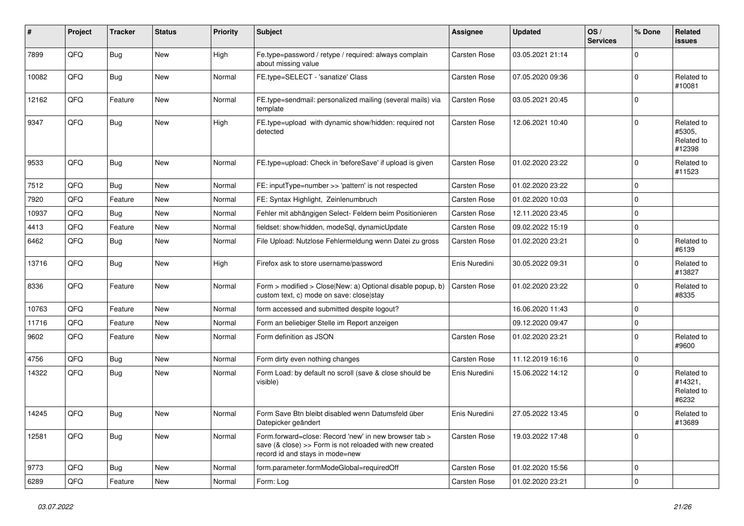| #     | Project | <b>Tracker</b> | <b>Status</b> | <b>Priority</b> | Subject                                                                                                                                             | <b>Assignee</b>     | <b>Updated</b>   | OS/<br><b>Services</b> | % Done      | Related<br>issues                            |
|-------|---------|----------------|---------------|-----------------|-----------------------------------------------------------------------------------------------------------------------------------------------------|---------------------|------------------|------------------------|-------------|----------------------------------------------|
| 7899  | QFQ     | Bug            | New           | High            | Fe.type=password / retype / required: always complain<br>about missing value                                                                        | <b>Carsten Rose</b> | 03.05.2021 21:14 |                        | $\Omega$    |                                              |
| 10082 | QFQ     | <b>Bug</b>     | <b>New</b>    | Normal          | FE.type=SELECT - 'sanatize' Class                                                                                                                   | <b>Carsten Rose</b> | 07.05.2020 09:36 |                        | $\Omega$    | Related to<br>#10081                         |
| 12162 | QFQ     | Feature        | New           | Normal          | FE.type=sendmail: personalized mailing (several mails) via<br>template                                                                              | <b>Carsten Rose</b> | 03.05.2021 20:45 |                        | $\Omega$    |                                              |
| 9347  | QFQ     | Bug            | New           | High            | FE.type=upload with dynamic show/hidden: required not<br>detected                                                                                   | <b>Carsten Rose</b> | 12.06.2021 10:40 |                        | $\Omega$    | Related to<br>#5305,<br>Related to<br>#12398 |
| 9533  | QFQ     | <b>Bug</b>     | <b>New</b>    | Normal          | FE.type=upload: Check in 'beforeSave' if upload is given                                                                                            | <b>Carsten Rose</b> | 01.02.2020 23:22 |                        | $\Omega$    | Related to<br>#11523                         |
| 7512  | QFQ     | Bug            | <b>New</b>    | Normal          | FE: inputType=number >> 'pattern' is not respected                                                                                                  | <b>Carsten Rose</b> | 01.02.2020 23:22 |                        | $\mathbf 0$ |                                              |
| 7920  | QFQ     | Feature        | <b>New</b>    | Normal          | FE: Syntax Highlight, Zeinlenumbruch                                                                                                                | Carsten Rose        | 01.02.2020 10:03 |                        | $\mathbf 0$ |                                              |
| 10937 | QFQ     | <b>Bug</b>     | New           | Normal          | Fehler mit abhängigen Select- Feldern beim Positionieren                                                                                            | <b>Carsten Rose</b> | 12.11.2020 23:45 |                        | $\mathbf 0$ |                                              |
| 4413  | QFQ     | Feature        | New           | Normal          | fieldset: show/hidden, modeSql, dynamicUpdate                                                                                                       | <b>Carsten Rose</b> | 09.02.2022 15:19 |                        | 0           |                                              |
| 6462  | QFQ     | Bug            | <b>New</b>    | Normal          | File Upload: Nutzlose Fehlermeldung wenn Datei zu gross                                                                                             | <b>Carsten Rose</b> | 01.02.2020 23:21 |                        | $\mathbf 0$ | Related to<br>#6139                          |
| 13716 | QFQ     | Bug            | <b>New</b>    | High            | Firefox ask to store username/password                                                                                                              | Enis Nuredini       | 30.05.2022 09:31 |                        | $\Omega$    | Related to<br>#13827                         |
| 8336  | QFQ     | Feature        | New           | Normal          | Form > modified > Close New: a) Optional disable popup, b)<br>custom text, c) mode on save: close stay                                              | <b>Carsten Rose</b> | 01.02.2020 23:22 |                        | $\Omega$    | Related to<br>#8335                          |
| 10763 | QFQ     | Feature        | <b>New</b>    | Normal          | form accessed and submitted despite logout?                                                                                                         |                     | 16.06.2020 11:43 |                        | $\Omega$    |                                              |
| 11716 | QFQ     | Feature        | <b>New</b>    | Normal          | Form an beliebiger Stelle im Report anzeigen                                                                                                        |                     | 09.12.2020 09:47 |                        | 0           |                                              |
| 9602  | QFQ     | Feature        | New           | Normal          | Form definition as JSON                                                                                                                             | <b>Carsten Rose</b> | 01.02.2020 23:21 |                        | $\Omega$    | Related to<br>#9600                          |
| 4756  | QFQ     | Bug            | <b>New</b>    | Normal          | Form dirty even nothing changes                                                                                                                     | Carsten Rose        | 11.12.2019 16:16 |                        | $\Omega$    |                                              |
| 14322 | QFQ     | Bug            | <b>New</b>    | Normal          | Form Load: by default no scroll (save & close should be<br>visible)                                                                                 | Enis Nuredini       | 15.06.2022 14:12 |                        | $\Omega$    | Related to<br>#14321,<br>Related to<br>#6232 |
| 14245 | QFQ     | Bug            | New           | Normal          | Form Save Btn bleibt disabled wenn Datumsfeld über<br>Datepicker geändert                                                                           | Enis Nuredini       | 27.05.2022 13:45 |                        | $\Omega$    | Related to<br>#13689                         |
| 12581 | QFQ     | <b>Bug</b>     | New           | Normal          | Form.forward=close: Record 'new' in new browser tab ><br>save (& close) >> Form is not reloaded with new created<br>record id and stays in mode=new | Carsten Rose        | 19.03.2022 17:48 |                        | $\Omega$    |                                              |
| 9773  | QFQ     | <b>Bug</b>     | <b>New</b>    | Normal          | form.parameter.formModeGlobal=requiredOff                                                                                                           | <b>Carsten Rose</b> | 01.02.2020 15:56 |                        | $\mathbf 0$ |                                              |
| 6289  | QFQ     | Feature        | New           | Normal          | Form: Log                                                                                                                                           | Carsten Rose        | 01.02.2020 23:21 |                        | $\mathbf 0$ |                                              |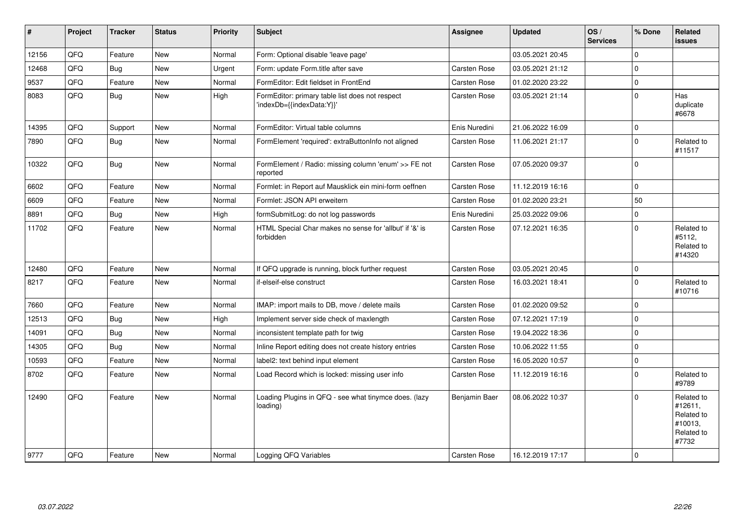| $\vert$ # | Project    | <b>Tracker</b> | <b>Status</b> | <b>Priority</b> | <b>Subject</b>                                                               | <b>Assignee</b>     | <b>Updated</b>   | OS/<br><b>Services</b> | % Done      | Related<br><b>issues</b>                                              |
|-----------|------------|----------------|---------------|-----------------|------------------------------------------------------------------------------|---------------------|------------------|------------------------|-------------|-----------------------------------------------------------------------|
| 12156     | QFQ        | Feature        | <b>New</b>    | Normal          | Form: Optional disable 'leave page'                                          |                     | 03.05.2021 20:45 |                        | 0           |                                                                       |
| 12468     | QFQ        | <b>Bug</b>     | <b>New</b>    | Urgent          | Form: update Form.title after save                                           | <b>Carsten Rose</b> | 03.05.2021 21:12 |                        | $\Omega$    |                                                                       |
| 9537      | QFQ        | Feature        | <b>New</b>    | Normal          | FormEditor: Edit fieldset in FrontEnd                                        | Carsten Rose        | 01.02.2020 23:22 |                        | $\Omega$    |                                                                       |
| 8083      | QFQ        | Bug            | <b>New</b>    | High            | FormEditor: primary table list does not respect<br>'indexDb={{indexData:Y}}' | Carsten Rose        | 03.05.2021 21:14 |                        | $\mathbf 0$ | Has<br>duplicate<br>#6678                                             |
| 14395     | QFQ        | Support        | <b>New</b>    | Normal          | FormEditor: Virtual table columns                                            | Enis Nuredini       | 21.06.2022 16:09 |                        | $\mathbf 0$ |                                                                       |
| 7890      | QFQ        | <b>Bug</b>     | <b>New</b>    | Normal          | FormElement 'required': extraButtonInfo not aligned                          | Carsten Rose        | 11.06.2021 21:17 |                        | $\Omega$    | Related to<br>#11517                                                  |
| 10322     | QFQ        | <b>Bug</b>     | <b>New</b>    | Normal          | FormElement / Radio: missing column 'enum' >> FE not<br>reported             | Carsten Rose        | 07.05.2020 09:37 |                        | $\Omega$    |                                                                       |
| 6602      | QFQ        | Feature        | <b>New</b>    | Normal          | Formlet: in Report auf Mausklick ein mini-form oeffnen                       | Carsten Rose        | 11.12.2019 16:16 |                        | $\mathbf 0$ |                                                                       |
| 6609      | QFQ        | Feature        | <b>New</b>    | Normal          | Formlet: JSON API erweitern                                                  | Carsten Rose        | 01.02.2020 23:21 |                        | 50          |                                                                       |
| 8891      | QFO        | <b>Bug</b>     | <b>New</b>    | High            | formSubmitLog: do not log passwords                                          | Enis Nuredini       | 25.03.2022 09:06 |                        | 0           |                                                                       |
| 11702     | QFQ        | Feature        | <b>New</b>    | Normal          | HTML Special Char makes no sense for 'allbut' if '&' is<br>forbidden         | Carsten Rose        | 07.12.2021 16:35 |                        | $\Omega$    | Related to<br>#5112,<br>Related to<br>#14320                          |
| 12480     | QFQ        | Feature        | <b>New</b>    | Normal          | If QFQ upgrade is running, block further request                             | <b>Carsten Rose</b> | 03.05.2021 20:45 |                        | $\mathbf 0$ |                                                                       |
| 8217      | QFQ        | Feature        | <b>New</b>    | Normal          | if-elseif-else construct                                                     | Carsten Rose        | 16.03.2021 18:41 |                        | 0           | Related to<br>#10716                                                  |
| 7660      | QFQ        | Feature        | New           | Normal          | IMAP: import mails to DB, move / delete mails                                | Carsten Rose        | 01.02.2020 09:52 |                        | 0           |                                                                       |
| 12513     | QFQ        | Bug            | <b>New</b>    | High            | Implement server side check of maxlength                                     | <b>Carsten Rose</b> | 07.12.2021 17:19 |                        | $\Omega$    |                                                                       |
| 14091     | QFQ        | Bug            | New           | Normal          | inconsistent template path for twig                                          | Carsten Rose        | 19.04.2022 18:36 |                        | $\Omega$    |                                                                       |
| 14305     | QFQ        | Bug            | <b>New</b>    | Normal          | Inline Report editing does not create history entries                        | Carsten Rose        | 10.06.2022 11:55 |                        | 0           |                                                                       |
| 10593     | QFQ        | Feature        | <b>New</b>    | Normal          | label2: text behind input element                                            | Carsten Rose        | 16.05.2020 10:57 |                        | $\mathbf 0$ |                                                                       |
| 8702      | <b>QFQ</b> | Feature        | <b>New</b>    | Normal          | Load Record which is locked: missing user info                               | Carsten Rose        | 11.12.2019 16:16 |                        | $\Omega$    | Related to<br>#9789                                                   |
| 12490     | QFQ        | Feature        | <b>New</b>    | Normal          | Loading Plugins in QFQ - see what tinymce does. (lazy<br>loading)            | Benjamin Baer       | 08.06.2022 10:37 |                        | $\Omega$    | Related to<br>#12611,<br>Related to<br>#10013,<br>Related to<br>#7732 |
| 9777      | QFQ        | Feature        | <b>New</b>    | Normal          | Logging QFQ Variables                                                        | Carsten Rose        | 16.12.2019 17:17 |                        | $\Omega$    |                                                                       |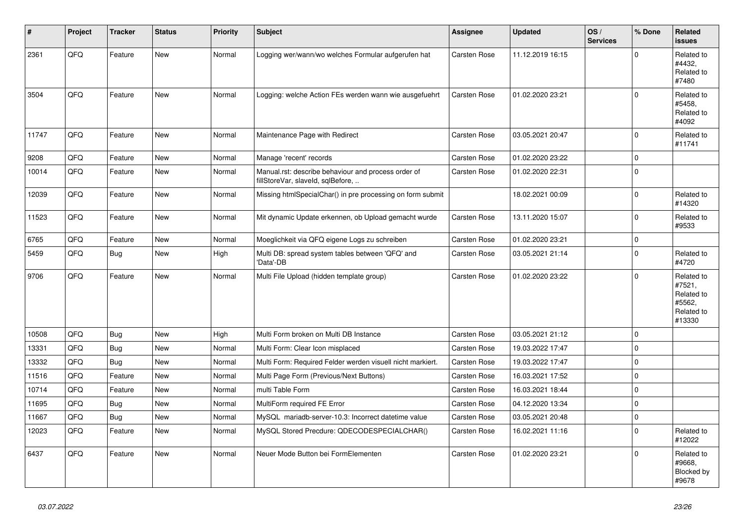| ∦     | Project | <b>Tracker</b> | <b>Status</b> | Priority | <b>Subject</b>                                                                           | <b>Assignee</b>     | <b>Updated</b>   | OS/<br><b>Services</b> | % Done   | Related<br><b>issues</b>                                             |
|-------|---------|----------------|---------------|----------|------------------------------------------------------------------------------------------|---------------------|------------------|------------------------|----------|----------------------------------------------------------------------|
| 2361  | QFQ     | Feature        | <b>New</b>    | Normal   | Logging wer/wann/wo welches Formular aufgerufen hat                                      | <b>Carsten Rose</b> | 11.12.2019 16:15 |                        | $\Omega$ | Related to<br>#4432,<br>Related to<br>#7480                          |
| 3504  | QFQ     | Feature        | <b>New</b>    | Normal   | Logging: welche Action FEs werden wann wie ausgefuehrt                                   | <b>Carsten Rose</b> | 01.02.2020 23:21 |                        | $\Omega$ | Related to<br>#5458,<br>Related to<br>#4092                          |
| 11747 | QFQ     | Feature        | <b>New</b>    | Normal   | Maintenance Page with Redirect                                                           | <b>Carsten Rose</b> | 03.05.2021 20:47 |                        | U        | Related to<br>#11741                                                 |
| 9208  | QFQ     | Feature        | <b>New</b>    | Normal   | Manage 'recent' records                                                                  | <b>Carsten Rose</b> | 01.02.2020 23:22 |                        | $\Omega$ |                                                                      |
| 10014 | QFQ     | Feature        | <b>New</b>    | Normal   | Manual.rst: describe behaviour and process order of<br>fillStoreVar, slaveId, sqlBefore, | Carsten Rose        | 01.02.2020 22:31 |                        | $\Omega$ |                                                                      |
| 12039 | QFQ     | Feature        | <b>New</b>    | Normal   | Missing htmlSpecialChar() in pre processing on form submit                               |                     | 18.02.2021 00:09 |                        | 0        | Related to<br>#14320                                                 |
| 11523 | QFQ     | Feature        | <b>New</b>    | Normal   | Mit dynamic Update erkennen, ob Upload gemacht wurde                                     | <b>Carsten Rose</b> | 13.11.2020 15:07 |                        | $\Omega$ | Related to<br>#9533                                                  |
| 6765  | QFQ     | Feature        | <b>New</b>    | Normal   | Moeglichkeit via QFQ eigene Logs zu schreiben                                            | <b>Carsten Rose</b> | 01.02.2020 23:21 |                        | $\Omega$ |                                                                      |
| 5459  | QFQ     | Bug            | <b>New</b>    | Hiah     | Multi DB: spread system tables between 'QFQ' and<br>Data'-DB                             | <b>Carsten Rose</b> | 03.05.2021 21:14 |                        | $\Omega$ | Related to<br>#4720                                                  |
| 9706  | QFQ     | Feature        | <b>New</b>    | Normal   | Multi File Upload (hidden template group)                                                | Carsten Rose        | 01.02.2020 23:22 |                        | $\Omega$ | Related to<br>#7521,<br>Related to<br>#5562,<br>Related to<br>#13330 |
| 10508 | QFQ     | Bug            | <b>New</b>    | High     | Multi Form broken on Multi DB Instance                                                   | <b>Carsten Rose</b> | 03.05.2021 21:12 |                        | $\Omega$ |                                                                      |
| 13331 | QFQ     | Bug            | <b>New</b>    | Normal   | Multi Form: Clear Icon misplaced                                                         | <b>Carsten Rose</b> | 19.03.2022 17:47 |                        | $\Omega$ |                                                                      |
| 13332 | QFQ     | Bug            | <b>New</b>    | Normal   | Multi Form: Required Felder werden visuell nicht markiert.                               | Carsten Rose        | 19.03.2022 17:47 |                        | $\Omega$ |                                                                      |
| 11516 | QFQ     | Feature        | <b>New</b>    | Normal   | Multi Page Form (Previous/Next Buttons)                                                  | Carsten Rose        | 16.03.2021 17:52 |                        | $\Omega$ |                                                                      |
| 10714 | QFQ     | Feature        | New           | Normal   | multi Table Form                                                                         | Carsten Rose        | 16.03.2021 18:44 |                        | $\Omega$ |                                                                      |
| 11695 | QFQ     | <b>Bug</b>     | <b>New</b>    | Normal   | MultiForm required FE Error                                                              | Carsten Rose        | 04.12.2020 13:34 |                        | $\Omega$ |                                                                      |
| 11667 | QFQ     | Bug            | <b>New</b>    | Normal   | MySQL mariadb-server-10.3: Incorrect datetime value                                      | Carsten Rose        | 03.05.2021 20:48 |                        | $\Omega$ |                                                                      |
| 12023 | QFQ     | Feature        | <b>New</b>    | Normal   | MySQL Stored Precdure: QDECODESPECIALCHAR()                                              | Carsten Rose        | 16.02.2021 11:16 |                        | $\Omega$ | Related to<br>#12022                                                 |
| 6437  | QFQ     | Feature        | New           | Normal   | Neuer Mode Button bei FormElementen                                                      | <b>Carsten Rose</b> | 01.02.2020 23:21 |                        | 0        | Related to<br>#9668,<br>Blocked by<br>#9678                          |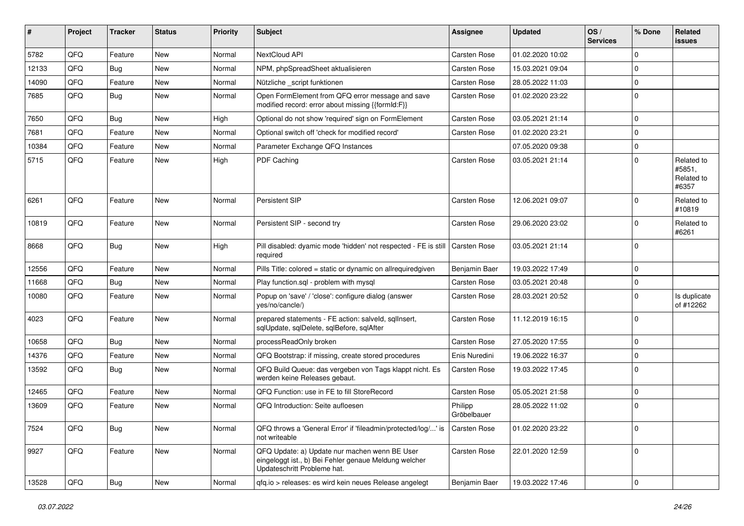| #     | Project | <b>Tracker</b> | <b>Status</b> | <b>Priority</b> | <b>Subject</b>                                                                                                                        | <b>Assignee</b>        | <b>Updated</b>   | OS/<br><b>Services</b> | % Done      | Related<br><b>issues</b>                    |
|-------|---------|----------------|---------------|-----------------|---------------------------------------------------------------------------------------------------------------------------------------|------------------------|------------------|------------------------|-------------|---------------------------------------------|
| 5782  | QFQ     | Feature        | New           | Normal          | NextCloud API                                                                                                                         | <b>Carsten Rose</b>    | 01.02.2020 10:02 |                        | $\Omega$    |                                             |
| 12133 | QFQ     | Bug            | <b>New</b>    | Normal          | NPM, phpSpreadSheet aktualisieren                                                                                                     | Carsten Rose           | 15.03.2021 09:04 |                        | 0           |                                             |
| 14090 | QFQ     | Feature        | <b>New</b>    | Normal          | Nützliche _script funktionen                                                                                                          | <b>Carsten Rose</b>    | 28.05.2022 11:03 |                        | $\mathbf 0$ |                                             |
| 7685  | QFQ     | Bug            | New           | Normal          | Open FormElement from QFQ error message and save<br>modified record: error about missing {{formId:F}}                                 | Carsten Rose           | 01.02.2020 23:22 |                        | 0           |                                             |
| 7650  | QFQ     | Bug            | <b>New</b>    | High            | Optional do not show 'required' sign on FormElement                                                                                   | <b>Carsten Rose</b>    | 03.05.2021 21:14 |                        | 0           |                                             |
| 7681  | QFQ     | Feature        | New           | Normal          | Optional switch off 'check for modified record'                                                                                       | <b>Carsten Rose</b>    | 01.02.2020 23:21 |                        | $\Omega$    |                                             |
| 10384 | QFQ     | Feature        | <b>New</b>    | Normal          | Parameter Exchange QFQ Instances                                                                                                      |                        | 07.05.2020 09:38 |                        | $\mathbf 0$ |                                             |
| 5715  | QFQ     | Feature        | New           | High            | PDF Caching                                                                                                                           | <b>Carsten Rose</b>    | 03.05.2021 21:14 |                        | $\Omega$    | Related to<br>#5851,<br>Related to<br>#6357 |
| 6261  | QFQ     | Feature        | <b>New</b>    | Normal          | Persistent SIP                                                                                                                        | <b>Carsten Rose</b>    | 12.06.2021 09:07 |                        | 0           | Related to<br>#10819                        |
| 10819 | QFQ     | Feature        | <b>New</b>    | Normal          | Persistent SIP - second try                                                                                                           | <b>Carsten Rose</b>    | 29.06.2020 23:02 |                        | $\Omega$    | Related to<br>#6261                         |
| 8668  | QFQ     | Bug            | New           | High            | Pill disabled: dyamic mode 'hidden' not respected - FE is still<br>required                                                           | <b>Carsten Rose</b>    | 03.05.2021 21:14 |                        | $\Omega$    |                                             |
| 12556 | QFQ     | Feature        | <b>New</b>    | Normal          | Pills Title: colored = static or dynamic on allrequiredgiven                                                                          | Benjamin Baer          | 19.03.2022 17:49 |                        | 0           |                                             |
| 11668 | QFQ     | <b>Bug</b>     | New           | Normal          | Play function.sql - problem with mysql                                                                                                | <b>Carsten Rose</b>    | 03.05.2021 20:48 |                        | 0           |                                             |
| 10080 | QFQ     | Feature        | New           | Normal          | Popup on 'save' / 'close': configure dialog (answer<br>yes/no/cancle/)                                                                | Carsten Rose           | 28.03.2021 20:52 |                        | 0           | Is duplicate<br>of #12262                   |
| 4023  | QFQ     | Feature        | New           | Normal          | prepared statements - FE action: salveld, sqlInsert,<br>sqlUpdate, sqlDelete, sqlBefore, sqlAfter                                     | <b>Carsten Rose</b>    | 11.12.2019 16:15 |                        | 0           |                                             |
| 10658 | QFQ     | <b>Bug</b>     | New           | Normal          | processReadOnly broken                                                                                                                | <b>Carsten Rose</b>    | 27.05.2020 17:55 |                        | $\mathbf 0$ |                                             |
| 14376 | QFQ     | Feature        | New           | Normal          | QFQ Bootstrap: if missing, create stored procedures                                                                                   | Enis Nuredini          | 19.06.2022 16:37 |                        | $\mathbf 0$ |                                             |
| 13592 | QFQ     | <b>Bug</b>     | New           | Normal          | QFQ Build Queue: das vergeben von Tags klappt nicht. Es<br>werden keine Releases gebaut.                                              | Carsten Rose           | 19.03.2022 17:45 |                        | $\Omega$    |                                             |
| 12465 | QFQ     | Feature        | New           | Normal          | QFQ Function: use in FE to fill StoreRecord                                                                                           | <b>Carsten Rose</b>    | 05.05.2021 21:58 |                        | 0           |                                             |
| 13609 | QFQ     | Feature        | New           | Normal          | QFQ Introduction: Seite aufloesen                                                                                                     | Philipp<br>Gröbelbauer | 28.05.2022 11:02 |                        | $\mathbf 0$ |                                             |
| 7524  | QFQ     | <b>Bug</b>     | New           | Normal          | QFQ throws a 'General Error' if 'fileadmin/protected/log/' is<br>not writeable                                                        | <b>Carsten Rose</b>    | 01.02.2020 23:22 |                        | $\mathbf 0$ |                                             |
| 9927  | QFQ     | Feature        | New           | Normal          | QFQ Update: a) Update nur machen wenn BE User<br>eingeloggt ist., b) Bei Fehler genaue Meldung welcher<br>Updateschritt Probleme hat. | Carsten Rose           | 22.01.2020 12:59 |                        | $\mathbf 0$ |                                             |
| 13528 | QFQ     | Bug            | New           | Normal          | qfq.io > releases: es wird kein neues Release angelegt                                                                                | Benjamin Baer          | 19.03.2022 17:46 |                        | $\mathbf 0$ |                                             |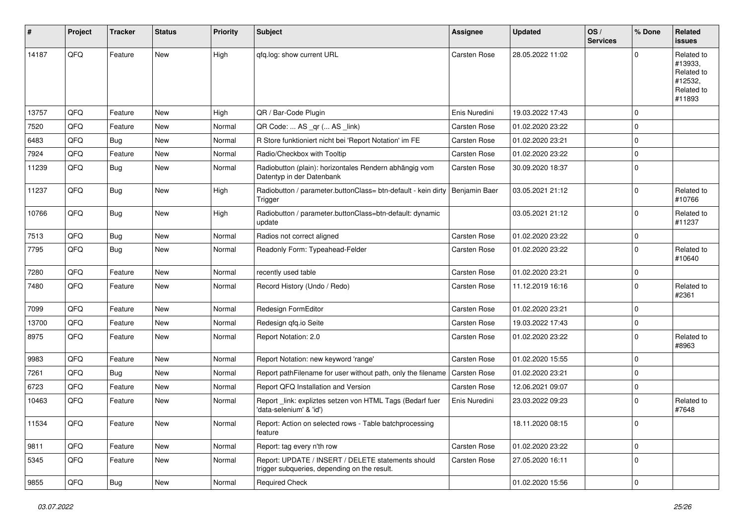| #     | Project | <b>Tracker</b> | <b>Status</b> | <b>Priority</b> | <b>Subject</b>                                                                                     | <b>Assignee</b>     | <b>Updated</b>   | OS/<br><b>Services</b> | % Done      | Related<br><b>issues</b>                                               |
|-------|---------|----------------|---------------|-----------------|----------------------------------------------------------------------------------------------------|---------------------|------------------|------------------------|-------------|------------------------------------------------------------------------|
| 14187 | QFQ     | Feature        | <b>New</b>    | High            | qfq.log: show current URL                                                                          | <b>Carsten Rose</b> | 28.05.2022 11:02 |                        | O           | Related to<br>#13933,<br>Related to<br>#12532,<br>Related to<br>#11893 |
| 13757 | QFQ     | Feature        | New           | High            | QR / Bar-Code Plugin                                                                               | Enis Nuredini       | 19.03.2022 17:43 |                        | 0           |                                                                        |
| 7520  | QFQ     | Feature        | New           | Normal          | QR Code:  AS _qr ( AS _link)                                                                       | Carsten Rose        | 01.02.2020 23:22 |                        | 0           |                                                                        |
| 6483  | QFQ     | <b>Bug</b>     | New           | Normal          | R Store funktioniert nicht bei 'Report Notation' im FE                                             | Carsten Rose        | 01.02.2020 23:21 |                        | 0           |                                                                        |
| 7924  | QFQ     | Feature        | <b>New</b>    | Normal          | Radio/Checkbox with Tooltip                                                                        | Carsten Rose        | 01.02.2020 23:22 |                        | $\mathbf 0$ |                                                                        |
| 11239 | QFQ     | Bug            | New           | Normal          | Radiobutton (plain): horizontales Rendern abhängig vom<br>Datentyp in der Datenbank                | Carsten Rose        | 30.09.2020 18:37 |                        | $\Omega$    |                                                                        |
| 11237 | QFQ     | Bug            | New           | High            | Radiobutton / parameter.buttonClass= btn-default - kein dirty   Benjamin Baer<br>Trigger           |                     | 03.05.2021 21:12 |                        | $\Omega$    | Related to<br>#10766                                                   |
| 10766 | QFQ     | Bug            | New           | High            | Radiobutton / parameter.buttonClass=btn-default: dynamic<br>update                                 |                     | 03.05.2021 21:12 |                        | $\Omega$    | Related to<br>#11237                                                   |
| 7513  | QFQ     | <b>Bug</b>     | New           | Normal          | Radios not correct aligned                                                                         | Carsten Rose        | 01.02.2020 23:22 |                        | 0           |                                                                        |
| 7795  | QFQ     | Bug            | New           | Normal          | Readonly Form: Typeahead-Felder                                                                    | Carsten Rose        | 01.02.2020 23:22 |                        | 0           | Related to<br>#10640                                                   |
| 7280  | QFQ     | Feature        | <b>New</b>    | Normal          | recently used table                                                                                | Carsten Rose        | 01.02.2020 23:21 |                        | $\mathbf 0$ |                                                                        |
| 7480  | QFQ     | Feature        | <b>New</b>    | Normal          | Record History (Undo / Redo)                                                                       | Carsten Rose        | 11.12.2019 16:16 |                        | 0           | Related to<br>#2361                                                    |
| 7099  | QFQ     | Feature        | New           | Normal          | Redesign FormEditor                                                                                | <b>Carsten Rose</b> | 01.02.2020 23:21 |                        | 0           |                                                                        |
| 13700 | QFQ     | Feature        | New           | Normal          | Redesign qfq.io Seite                                                                              | Carsten Rose        | 19.03.2022 17:43 |                        | 0           |                                                                        |
| 8975  | QFQ     | Feature        | New           | Normal          | Report Notation: 2.0                                                                               | Carsten Rose        | 01.02.2020 23:22 |                        | $\Omega$    | Related to<br>#8963                                                    |
| 9983  | QFQ     | Feature        | New           | Normal          | Report Notation: new keyword 'range'                                                               | <b>Carsten Rose</b> | 01.02.2020 15:55 |                        | 0           |                                                                        |
| 7261  | QFQ     | <b>Bug</b>     | New           | Normal          | Report pathFilename for user without path, only the filename                                       | <b>Carsten Rose</b> | 01.02.2020 23:21 |                        | 0           |                                                                        |
| 6723  | QFQ     | Feature        | New           | Normal          | Report QFQ Installation and Version                                                                | <b>Carsten Rose</b> | 12.06.2021 09:07 |                        | 0           |                                                                        |
| 10463 | QFQ     | Feature        | New           | Normal          | Report_link: expliztes setzen von HTML Tags (Bedarf fuer<br>'data-selenium' & 'id')                | Enis Nuredini       | 23.03.2022 09:23 |                        | $\Omega$    | Related to<br>#7648                                                    |
| 11534 | QFQ     | Feature        | New           | Normal          | Report: Action on selected rows - Table batchprocessing<br>feature                                 |                     | 18.11.2020 08:15 |                        | 0           |                                                                        |
| 9811  | QFQ     | Feature        | <b>New</b>    | Normal          | Report: tag every n'th row                                                                         | Carsten Rose        | 01.02.2020 23:22 |                        | $\mathbf 0$ |                                                                        |
| 5345  | QFQ     | Feature        | New           | Normal          | Report: UPDATE / INSERT / DELETE statements should<br>trigger subqueries, depending on the result. | Carsten Rose        | 27.05.2020 16:11 |                        | $\mathbf 0$ |                                                                        |
| 9855  | QFQ     | Bug            | New           | Normal          | Required Check                                                                                     |                     | 01.02.2020 15:56 |                        | $\mathbf 0$ |                                                                        |